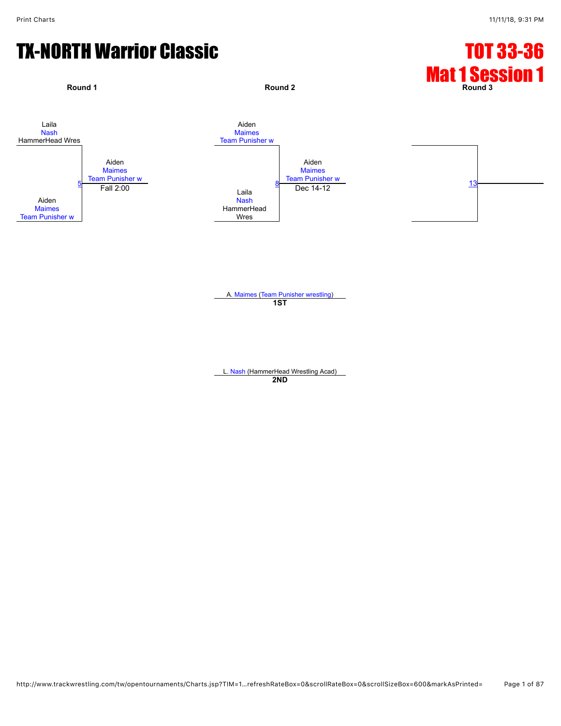# TX-NORTH Warrior Classic TX-NORTH Warrior Classic



A. [Maimes](javascript:viewProfile(908121132)) ([Team Punisher wrestling\)](javascript:viewClub(232076)) **1ST**

L. [Nash](javascript:viewProfile(918384132)) (HammerHead Wrestling Acad) **2ND**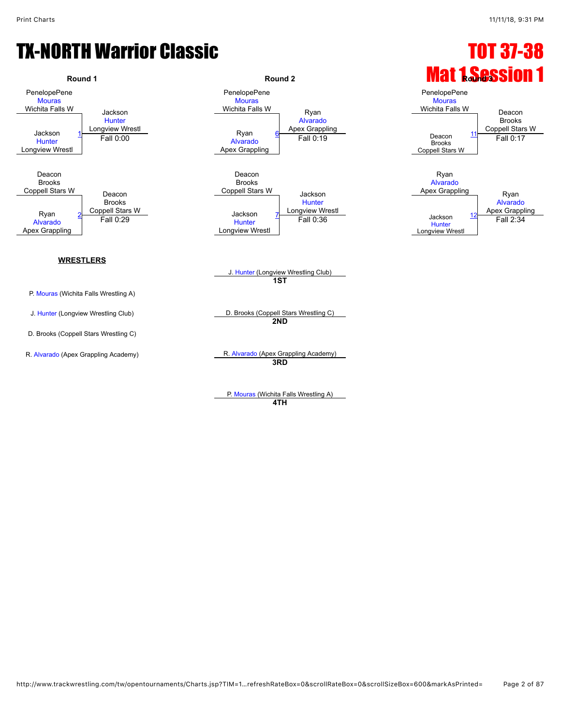#### TX-NORTH Warrior Classic **TX-NORTH** Warrior Classic



**WRESTLERS**

P. [Mouras](javascript:viewProfile(918979132)) (Wichita Falls Wrestling A)

D. Brooks (Coppell Stars Wrestling C)

PenelopePene **[Mouras](javascript:viewProfile(918979132))** Wichita Falls W<br>Ryan [Alvarado](javascript:viewProfile(909854132)) Apex Grappling Jackson 1 Longview Wrestl **Coppell Stars Witter Stars Witter Coppell Stars Witter Coppell Stars Witter Stars Wi**<br>
Ryan 6 Europe 11 Longview Wrestl [Alvarado](javascript:viewProfile(909854132)) Apex Grappling Fall 0:19 Deacon [11](javascript:openBoutSheet(5,) Fall 0:00 Fall 0:19 Fall 0:17 Deacon Brooks Coppell Stars W Jackson **[Hunter](javascript:viewProfile(920351132))** Longview Wrestl Ryan 2 Coppell Stars W **Department Connect Start Connect Act Start Connect Act Start Connect Act Start Connect Act Start Connect Act Start Apex Grappling [Hunter](javascript:viewProfile(920351132))** Longview Wrestl <u>Fall 0:36</u> Jackson<br>Fall 0:36 Jackson  $\frac{12}{\text{Fall 0:29}}$  $\frac{12}{\text{Fall 0:29}}$  $\frac{12}{\text{Fall 0:29}}$  ackson  $\frac{7}{\text{Full 0:36}}$  Fall 0:36 Jackson  $\frac{12}{\text{Fall 2:34}}$  Fall 2:34



**1ST**

J. [Hunter](javascript:viewProfile(920351132)) (Longview Wrestling Club) D. Brooks (Coppell Stars Wrestling C) **2ND**

R. [Alvarado](javascript:viewProfile(909854132)) (Apex Grappling Academy) R. Alvarado (Apex Grappling Academy) **3RD**

> P. [Mouras](javascript:viewProfile(918979132)) (Wichita Falls Wrestling A) **4TH**

# **Round 1 Round 1 Round 2 Round 2 Round 2** *Round 1 Round 1 Round 1 Round 1 Round 1 Round 1 Round 1 Round 1 Round 1 Round 1 Round 1 Round 1 Round 1 Round 1 Ro*



Longview Wrestl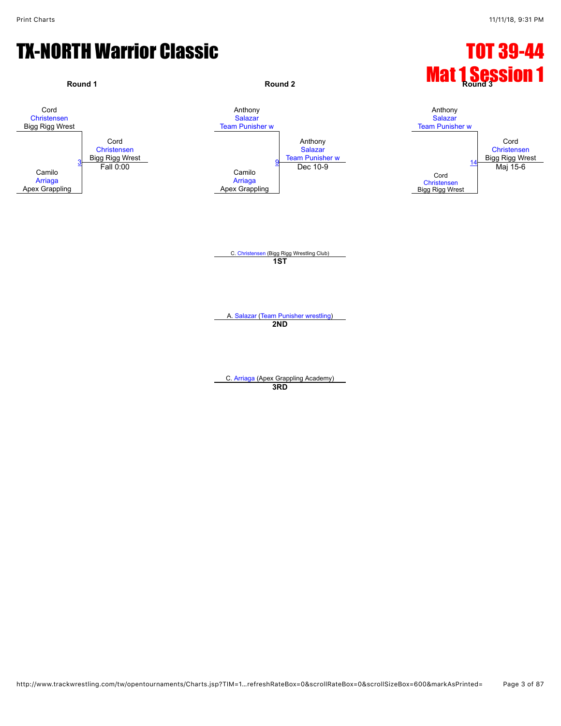#### **TX-NORTH Warrior Classic Community Classic Community Community Community Community Community Community Community Community Community Community Community Community Community Community Community Community Community Communit**



C. [Arriaga](javascript:viewProfile(1891999096)) (Apex Grappling Academy) **3RD**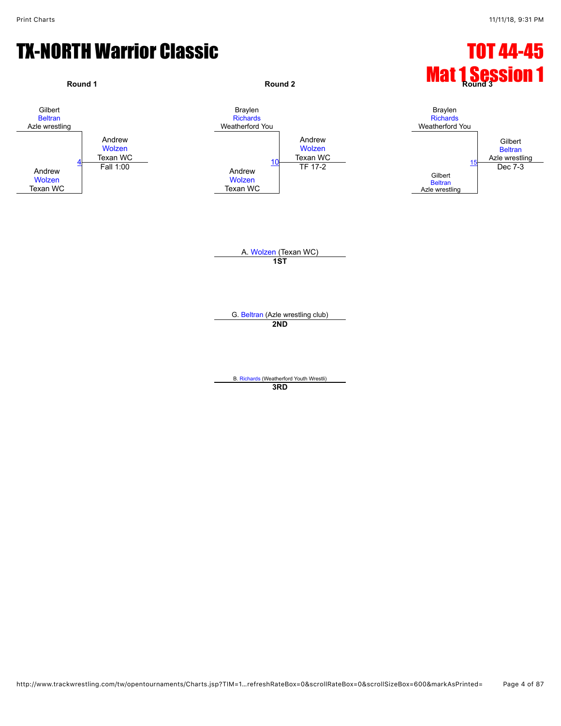#### **TX-NORTH Warrior Classic Community Classic Community Community Community Community Community Community Community**

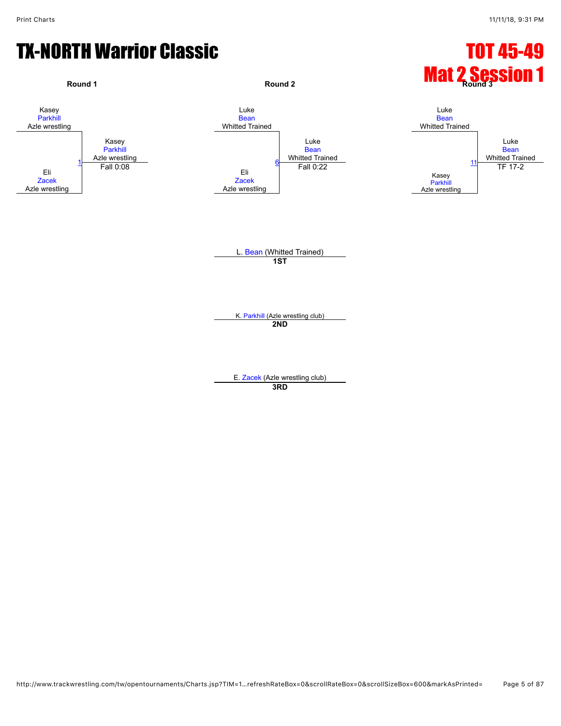#### **TX-NORTH Warrior Classic Community Classic Community Community Community Community Community Community Community**

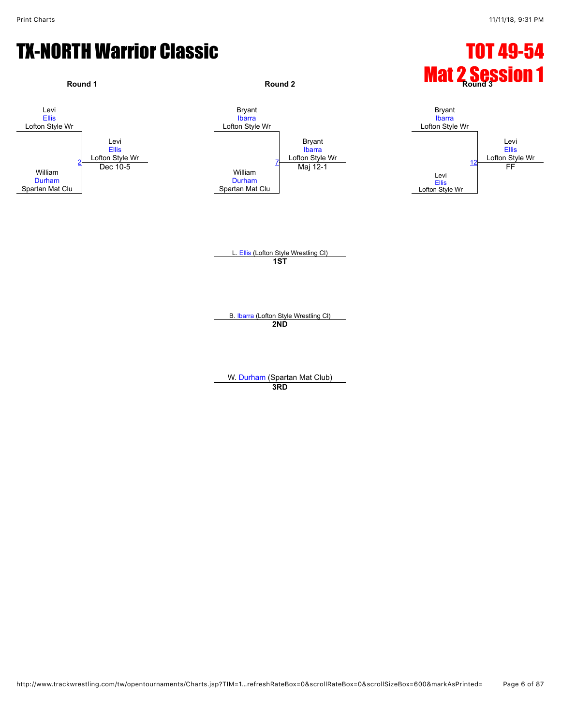#### **TX-NORTH Warrior Classic Community Classic Community Community Community Community Community Community Community**



W. [Durham](javascript:viewProfile(921361132)) (Spartan Mat Club)

**3RD**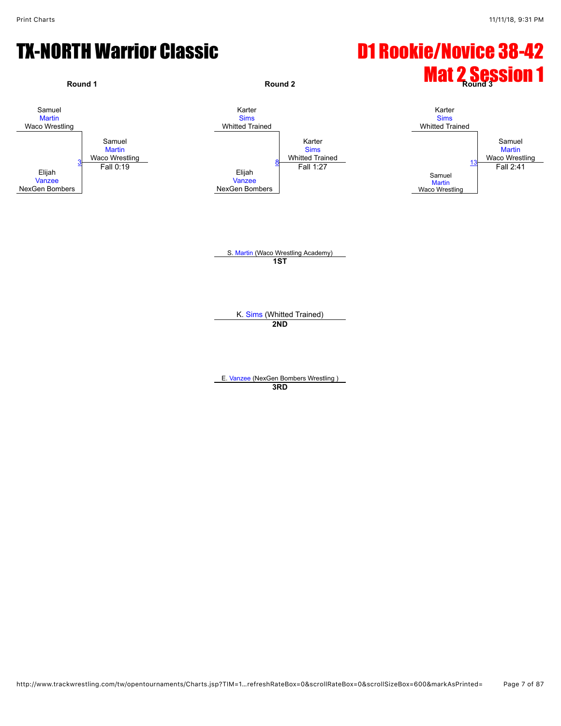# TX-NORTH Warrior Classic **D1 Rookie/Novice 38-42**



**3RD**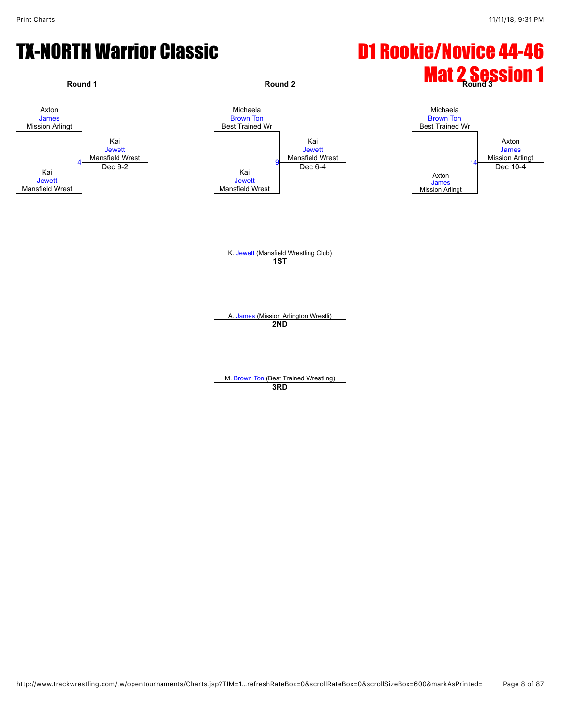#### TX-NORTH Warrior Classic **D1 Rookie/Novice 44-46**



M. [Brown Ton](javascript:viewProfile(919471132)) (Best Trained Wrestling) **3RD**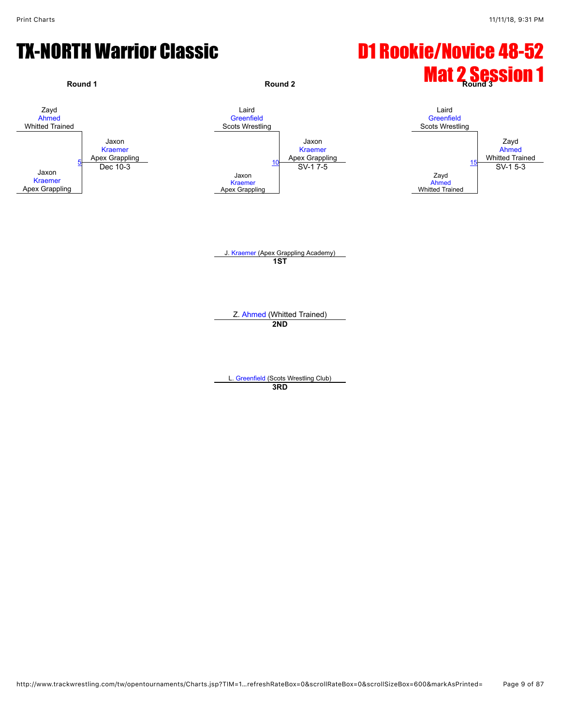# TX-NORTH Warrior Classic **D1 Rookie/Novice 48-52**



L. [Greenfield](javascript:viewProfile(919006132)) (Scots Wrestling Club) **3RD**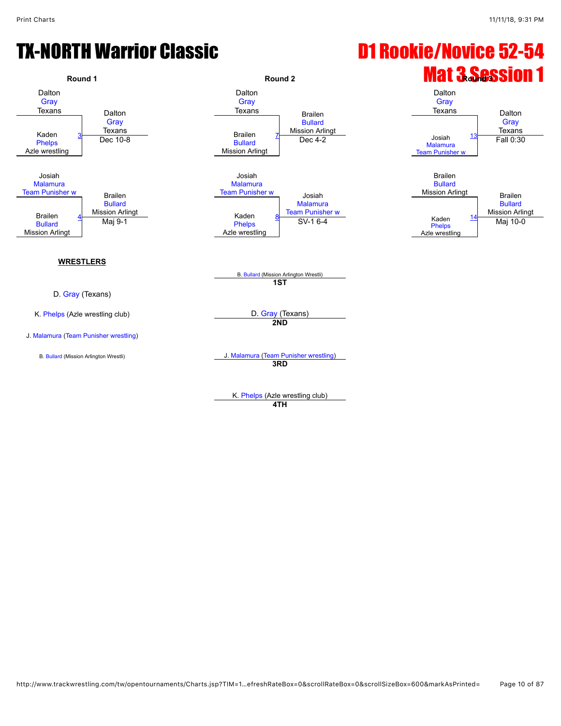# TX-NORTH Warrior Classic **D1 Rookie/Novice 52-54**



**4TH**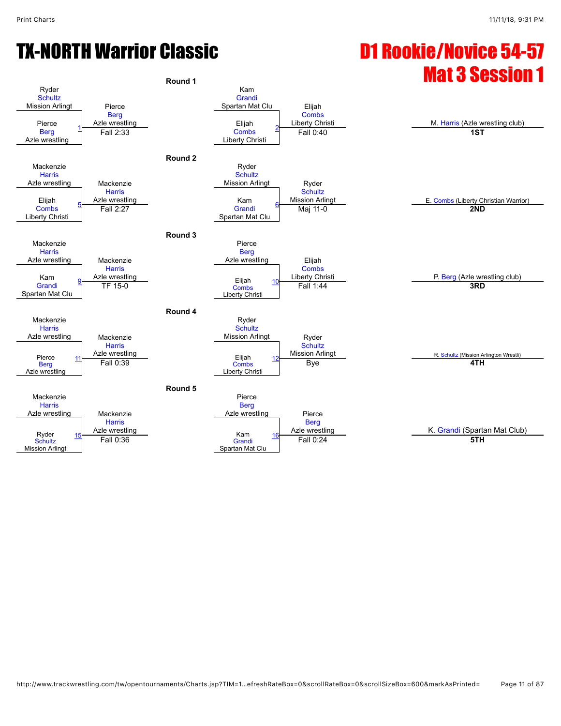# TX-NORTH Warrior Classic D1 Rookie/Novice 54-57

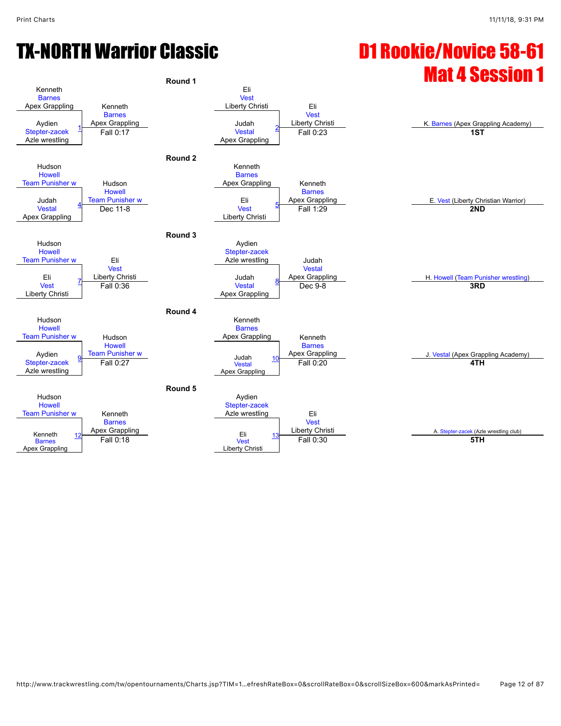# TX-NORTH Warrior Classic D1 Rookie/Novice 58-61

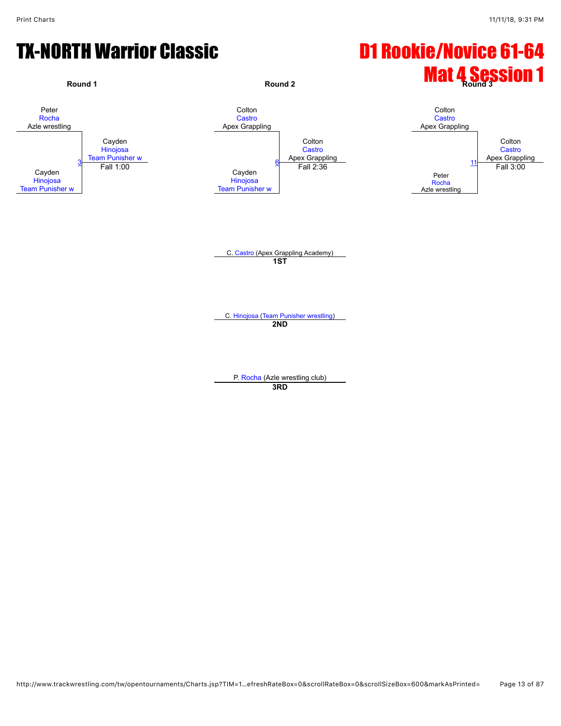# TX-NORTH Warrior Classic **D1 Rookie/Novice 61-64**

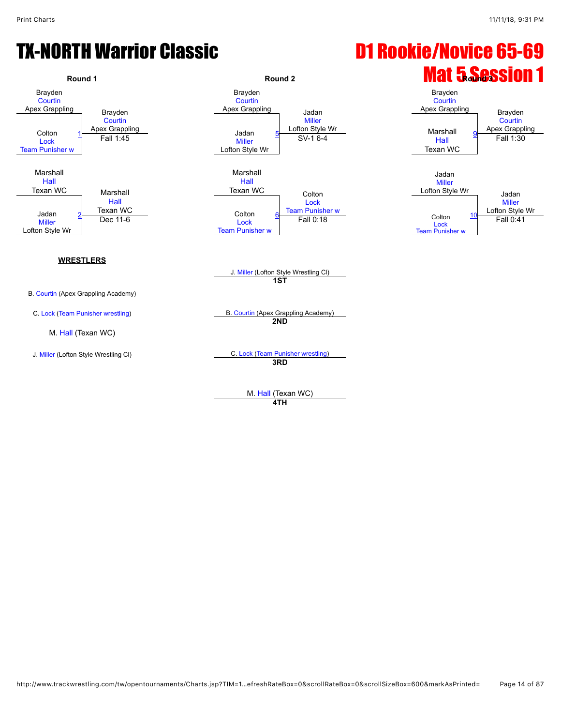# TX-NORTH Warrior Classic **D1 Rookie/Novice 65-69**



M. [Hall](javascript:viewProfile(1555863096)) (Texan WC) **4TH**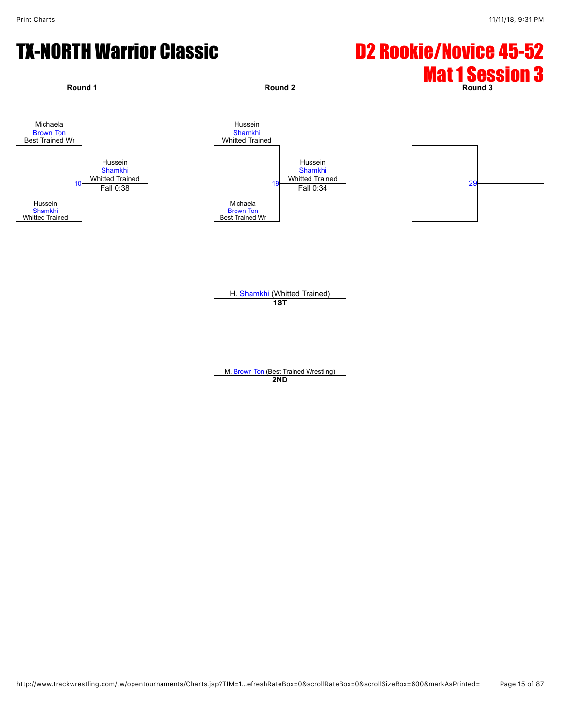# TX-NORTH Warrior Classic **D2 Rookie/Novice 45-52**



H. [Shamkhi](javascript:viewProfile(920831132)) (Whitted Trained) **1ST**

M. [Brown Ton](javascript:viewProfile(919471132)) (Best Trained Wrestling) **2ND**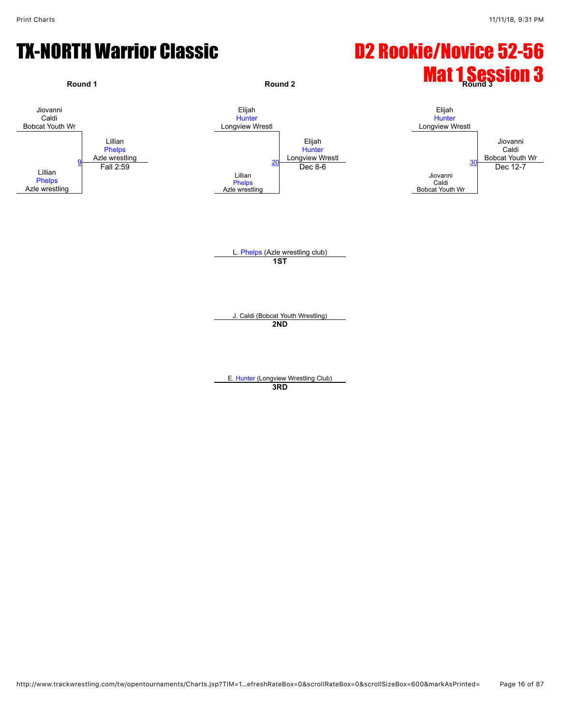#### TX-NORTH Warrior Classic **D2 Rookie/Novice 52-56**

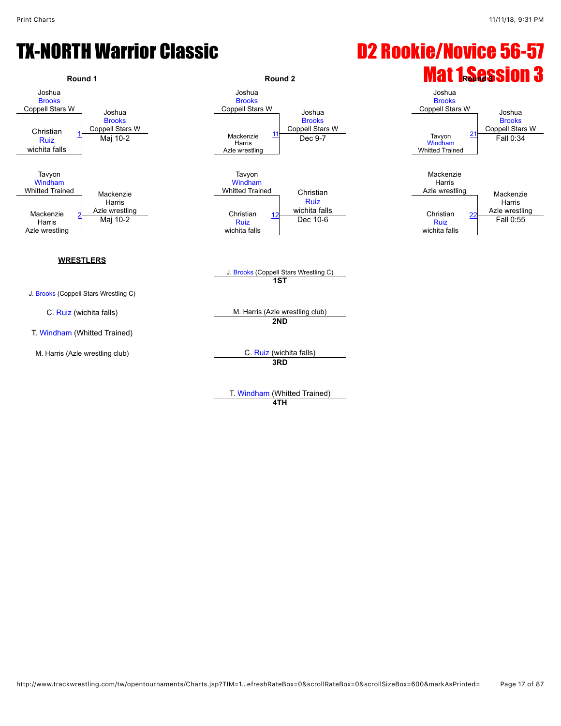# TX-NORTH Warrior Classic **D2 Rookie/Novice 56-57**



T. [Windham](javascript:viewProfile(51884076)) (Whitted Trained) **4TH**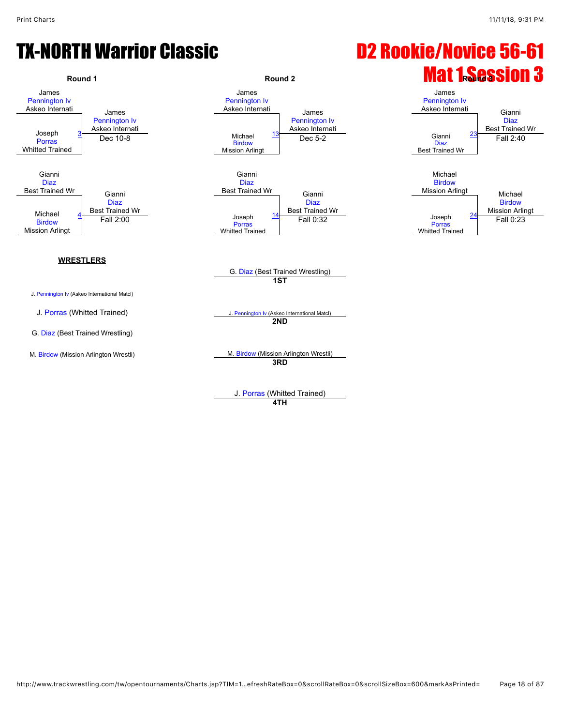# TX-NORTH Warrior Classic **D2 Rookie/Novice 56-61**



J. [Porras](javascript:viewProfile(1190368096)) (Whitted Trained)

**4TH**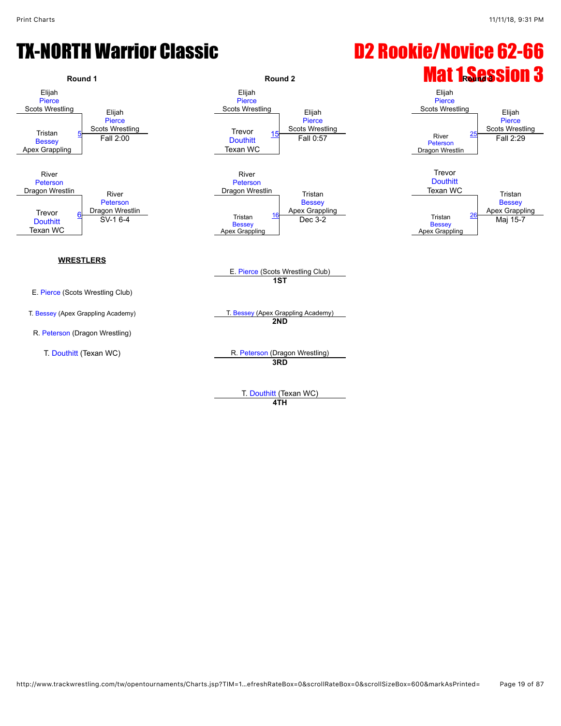# TX-NORTH Warrior Classic **D2 Rookie/Novice 62-66**



T. [Douthitt](javascript:viewProfile(920282132)) (Texan WC) **4TH**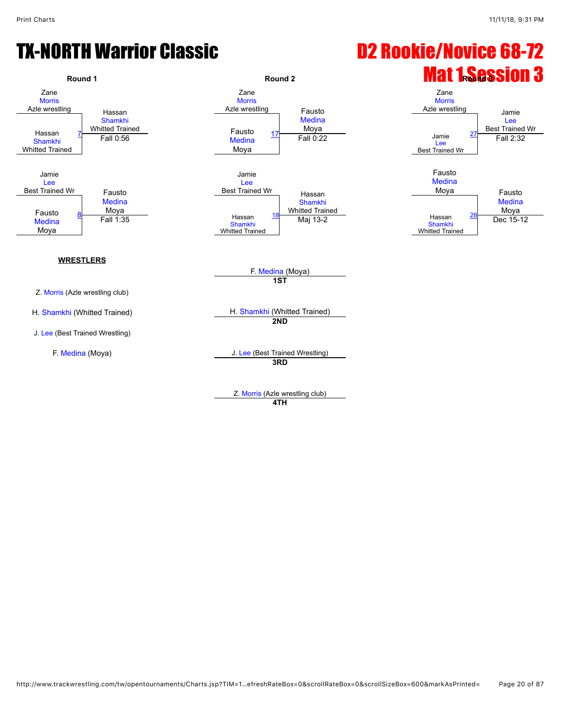# TX-NORTH Warrior Classic **D2 Rookie/Novice 68-72**



Z. [Morris](javascript:viewProfile(1170697096)) (Azle wrestling club) **4TH**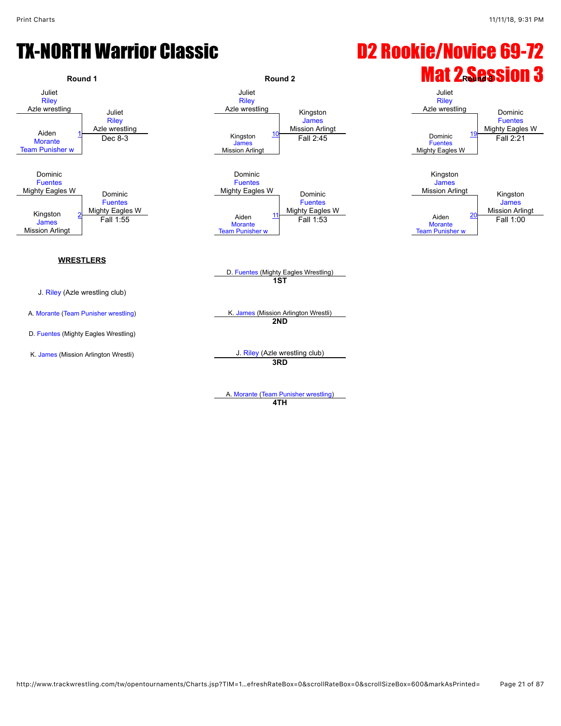# TX-NORTH Warrior Classic **D2 Rookie/Novice 69-72**



A. [Morante](javascript:viewProfile(920568132)) ([Team Punisher wrestling](javascript:viewClub(232076))) **4TH**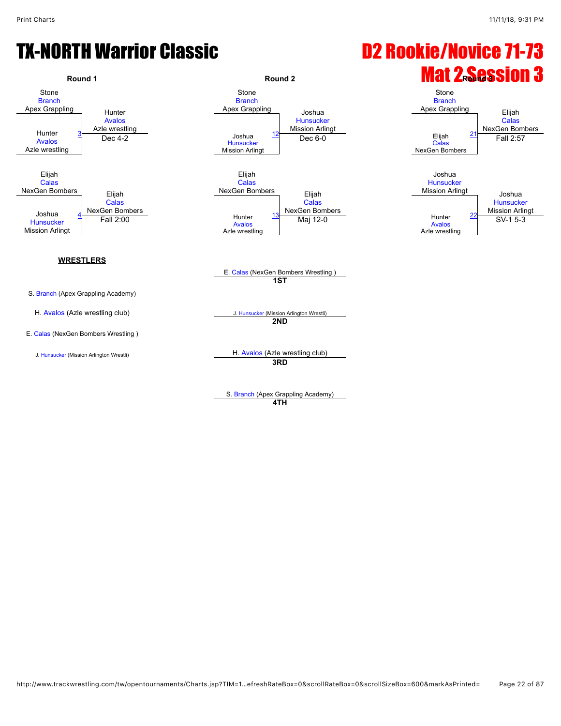# TX-NORTH Warrior Classic **D2 Rookie/Novice 71-73**



**3RD**

S. [Branch](javascript:viewProfile(1814954096)) (Apex Grappling Academy) **4TH**

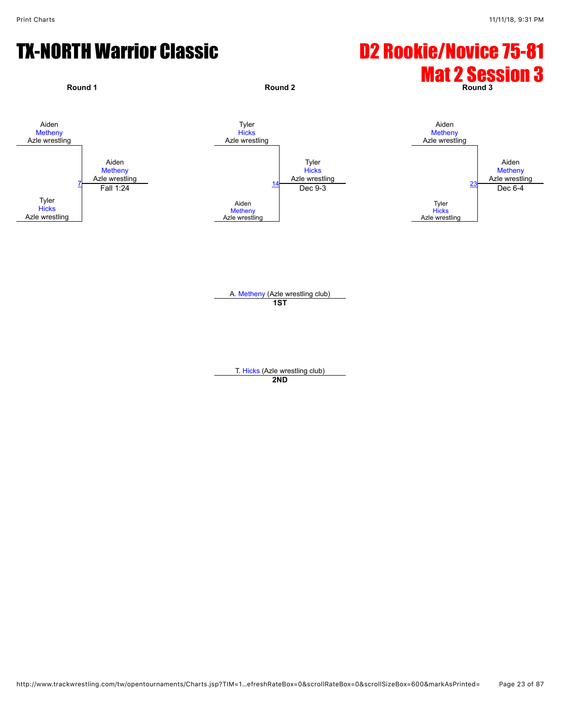# TX-NORTH Warrior Classic **D2 Rookie/Novice 75-81**



**1ST**

T. [Hicks](javascript:viewProfile(920817132)) (Azle wrestling club) **2ND**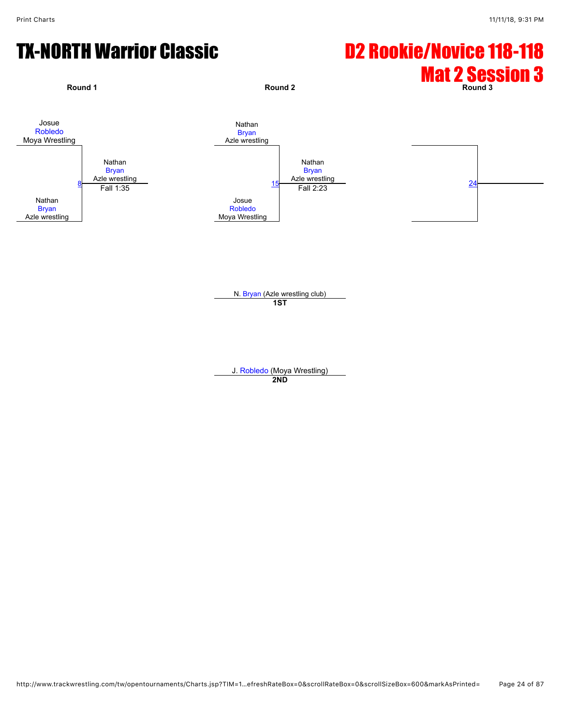# TX-NORTH Warrior Classic **D2 Rookie/Novice 118-118**



N. [Bryan](javascript:viewProfile(1891590096)) (Azle wrestling club) **1ST**

J. [Robledo](javascript:viewProfile(1119600096)) (Moya Wrestling) **2ND**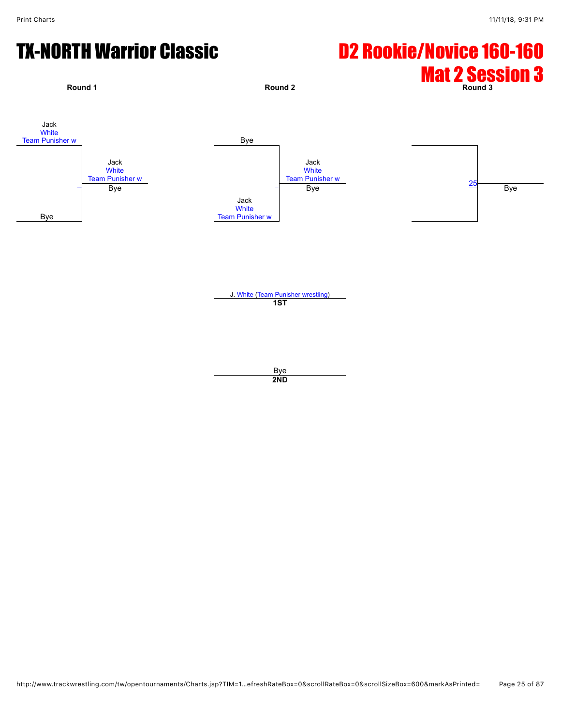# TX-NORTH Warrior Classic **D2 Rookie/Novice 160-160**



Bye **2ND**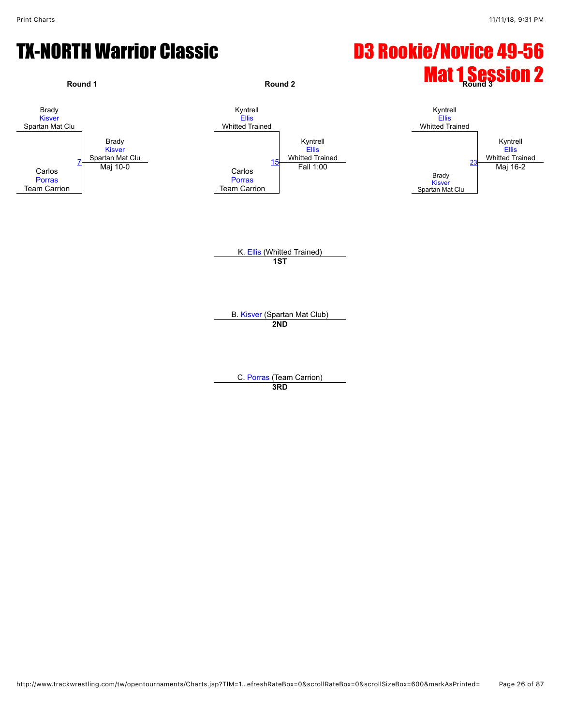# TX-NORTH Warrior Classic **D3 Rookie/Novice 49-56**



C. [Porras](javascript:viewProfile(1190367096)) (Team Carrion) **3RD**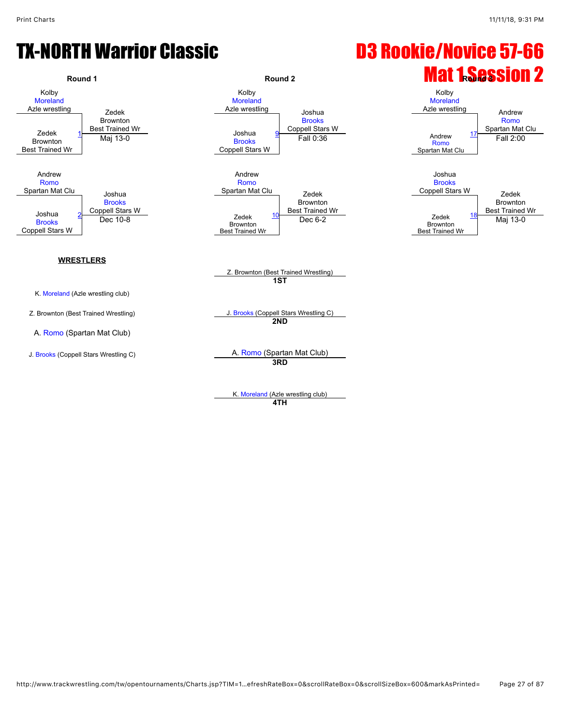# TX-NORTH Warrior Classic D3 Rookie/Novice 57-66



K. [Moreland](javascript:viewProfile(1891626096)) (Azle wrestling club) **4TH**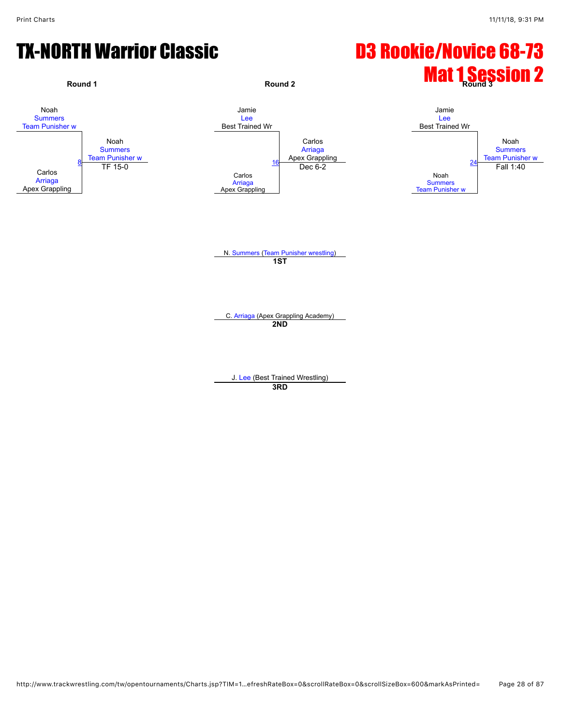# TX-NORTH Warrior Classic **D3 Rookie/Novice 68-73**

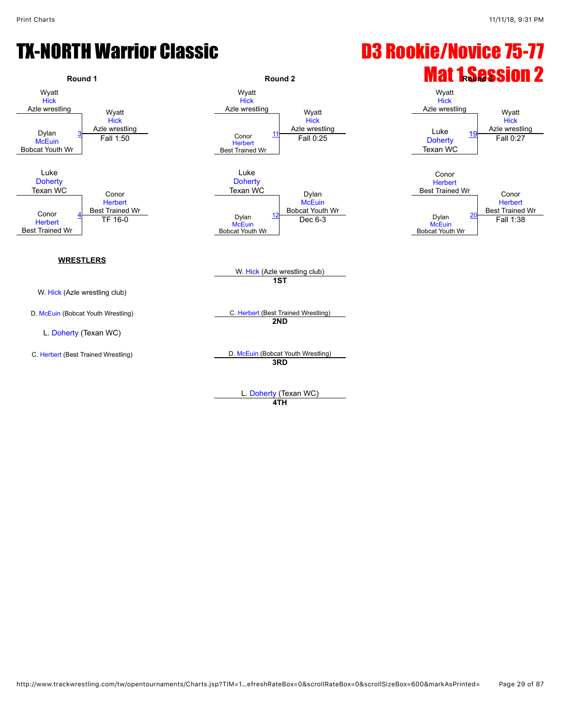# TX-NORTH Warrior Classic **Cassic Canadian Construction Construction** D3 Rookie/Novice 75-77



L. [Doherty](javascript:viewProfile(1836656096)) (Texan WC) **4TH**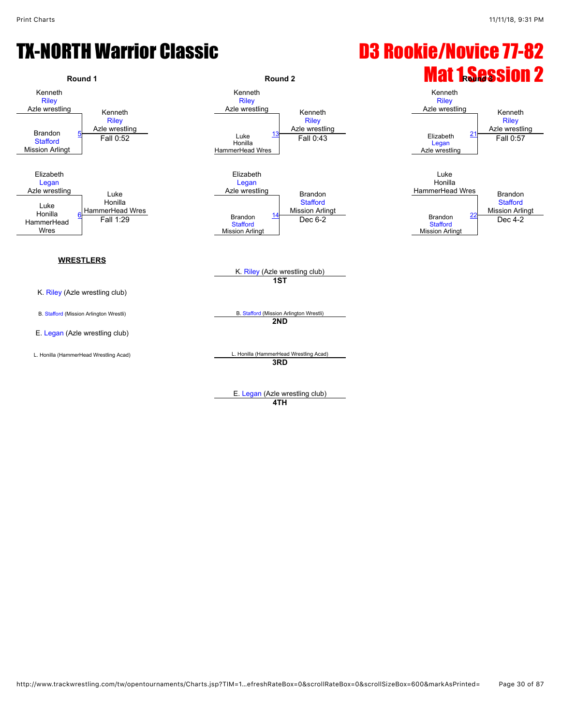# TX-NORTH Warrior Classic **Cassic Communist Construction Construction** D3 Rookie/Novice 77-82



**4TH**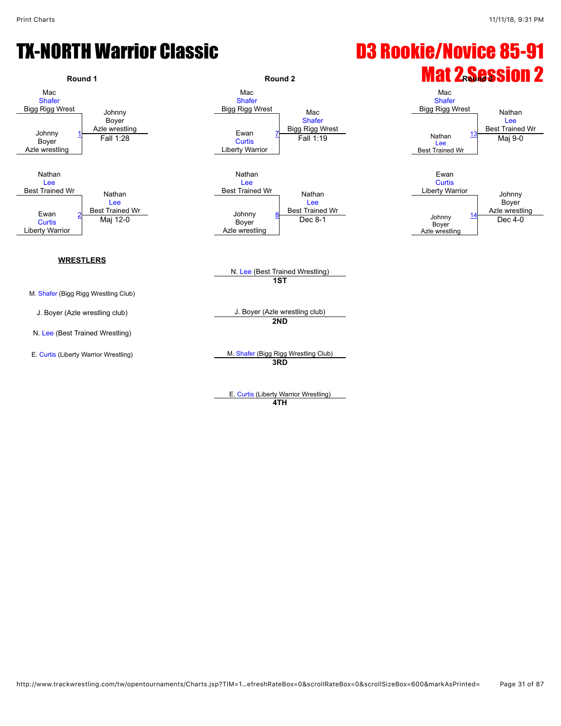# TX-NORTH Warrior Classic D3 Rookie/Novice 85-91



E. [Curtis](javascript:viewProfile(1556469009)) (Liberty Warrior Wrestling) **4TH**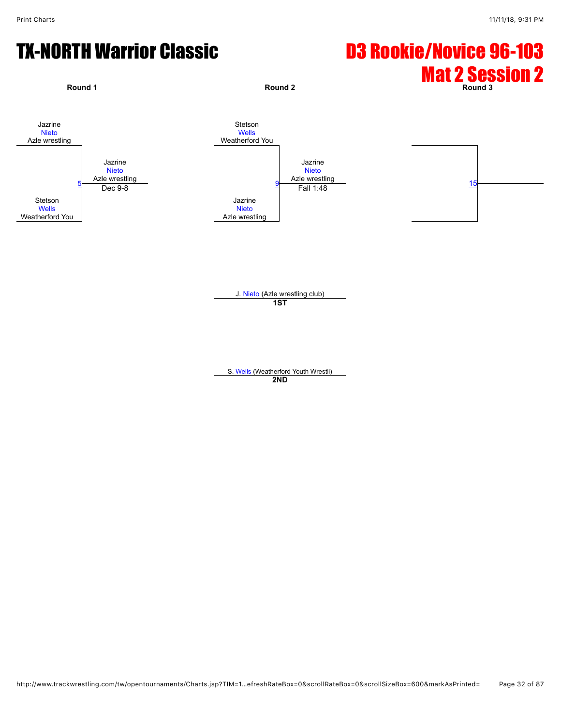# TX-NORTH Warrior Classic **D3 Rookie/Novice 96-103**



J. [Nieto](javascript:viewProfile(920821132)) (Azle wrestling club) **1ST**

S. [Wells](javascript:viewProfile(1815087009)) (Weatherford Youth Wrestli) **2ND**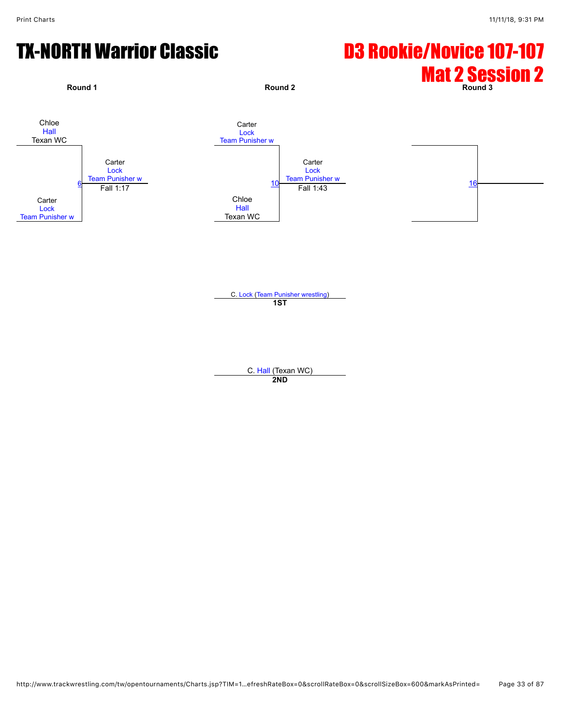# TX-NORTH Warrior Classic **D3 Rookie/Novice 107-107**



**1ST**

C. [Hall](javascript:viewProfile(616751132)) (Texan WC) **2ND**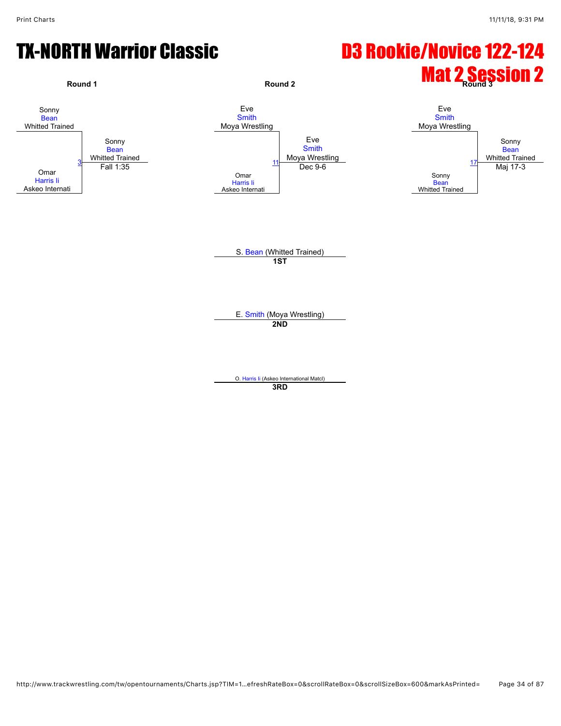# TX-NORTH Warrior Classic **D3 Rookie/Novice 122-124**

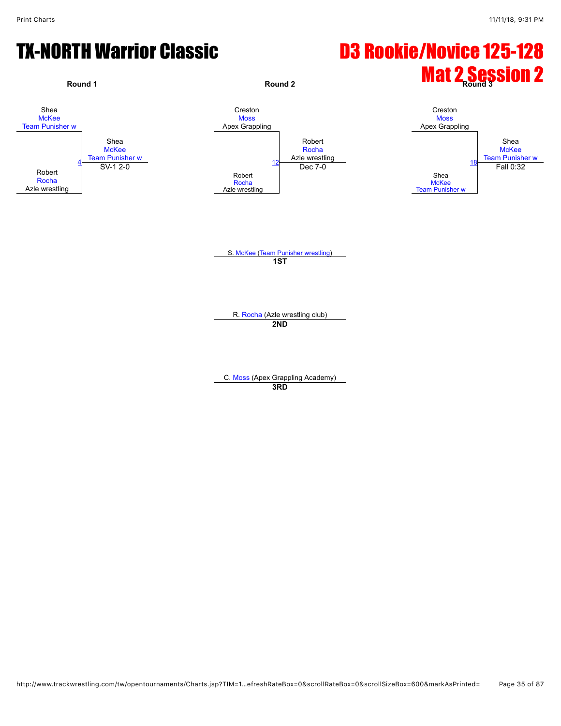# TX-NORTH Warrior Classic **D3 Rookie/Novice 125-128**

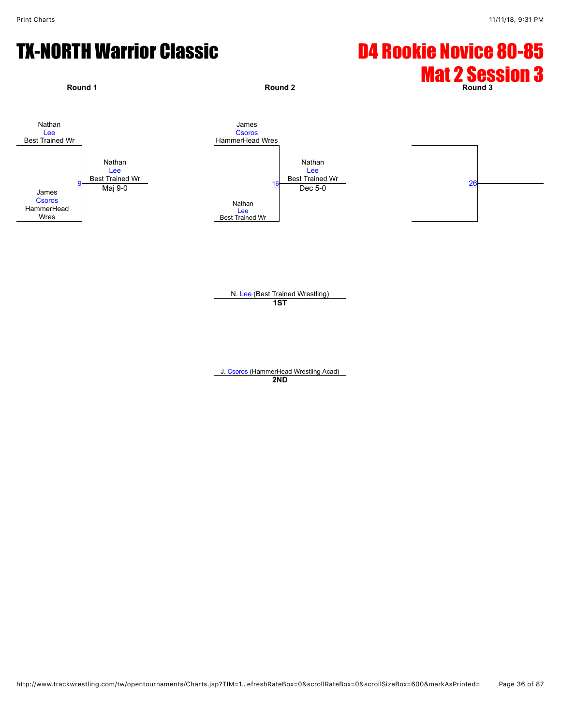# TX-NORTH Warrior Classic **D4 Rookie Novice 80-85**



N. [Lee](javascript:viewProfile(1847767096)) (Best Trained Wrestling) **1ST**

J. [Csoros](javascript:viewProfile(1836845096)) (HammerHead Wrestling Acad) **2ND**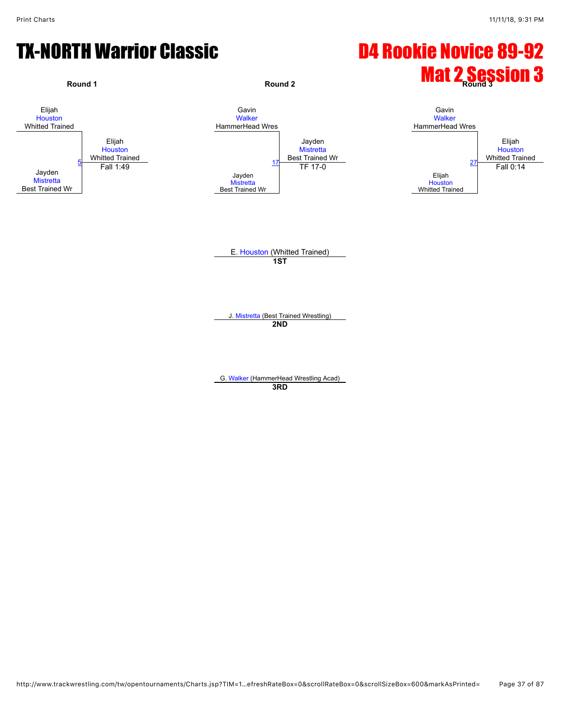## TX-NORTH Warrior Classic **D4 Rookie Novice 89-92**



J. [Mistretta](javascript:viewProfile(919952132)) (Best Trained Wrestling) **2ND**

G. [Walker](javascript:viewProfile(920173132)) (HammerHead Wrestling Acad) **3RD**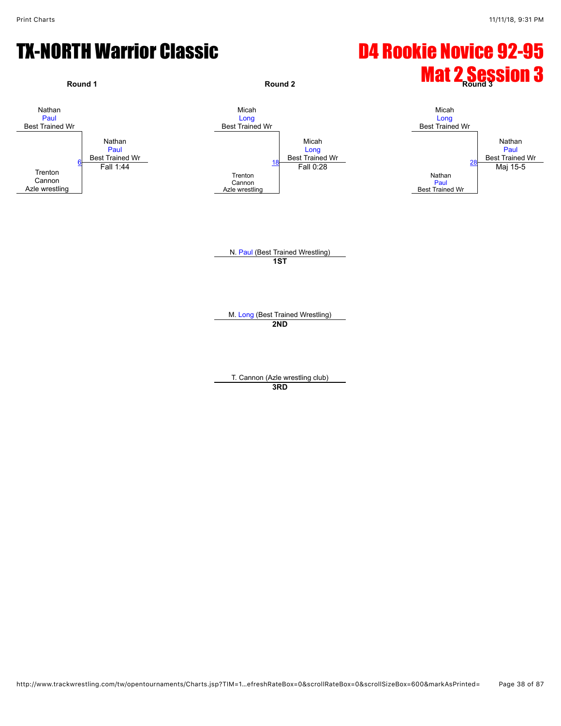## TX-NORTH Warrior Classic **D4 Rookie Novice 92-95**

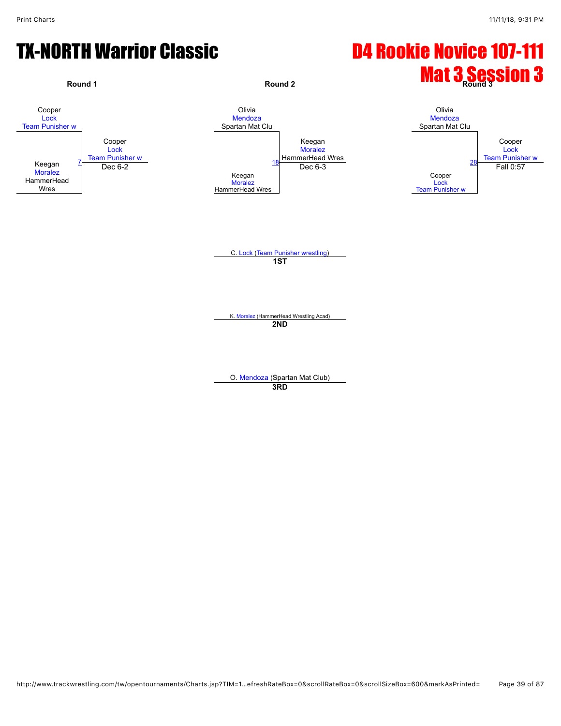## TX-NORTH Warrior Classic D4 Rookie Novice 107-111

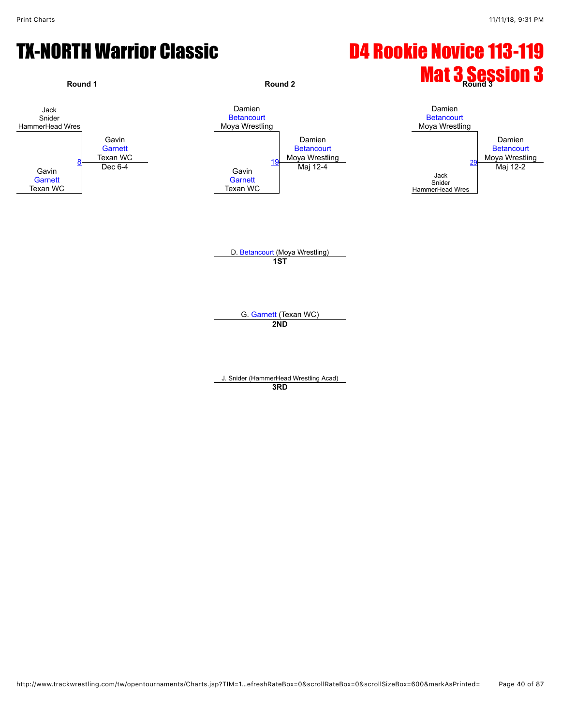## **TX-NORTH Warrior Classic CCLASS CONVERTS CONTROVICE 113-119**

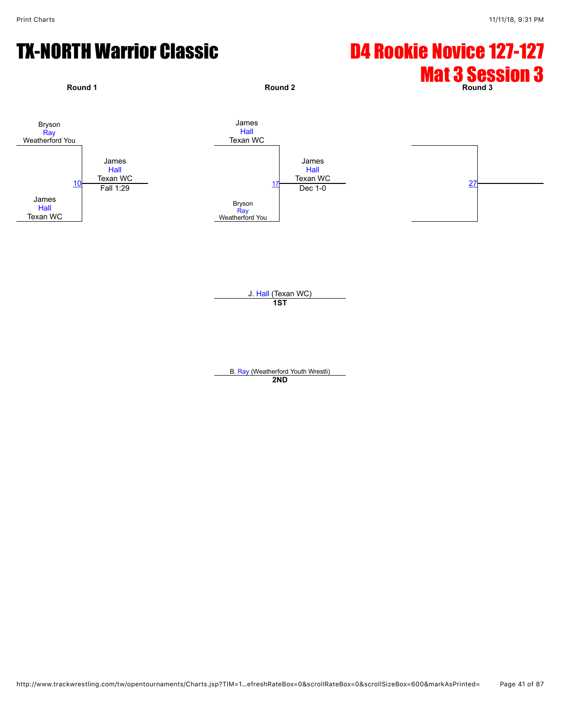# TX-NORTH Warrior Classic **D4 Rookie Novice 127-127**



J. [Hall](javascript:viewProfile(1536306096)) (Texan WC) **1ST**

B. [Ray](javascript:viewProfile(920174132)) (Weatherford Youth Wrestli) **2ND**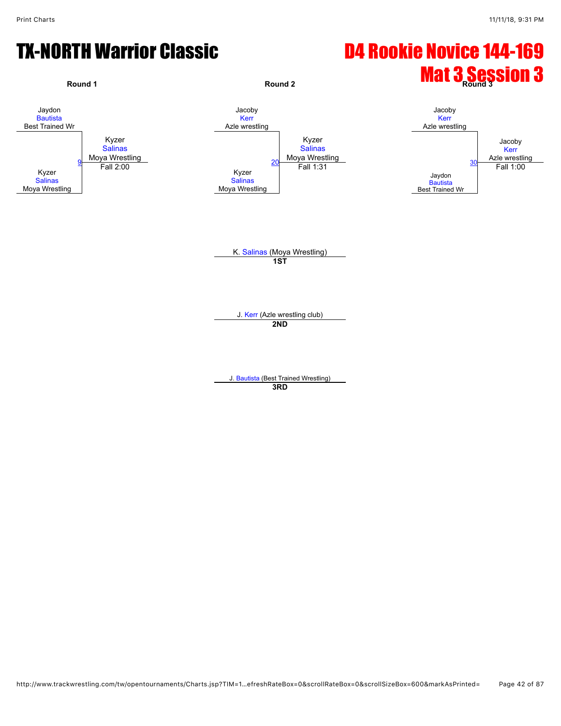## TX-NORTH Warrior Classic **D4 Rookie Novice 144-169**

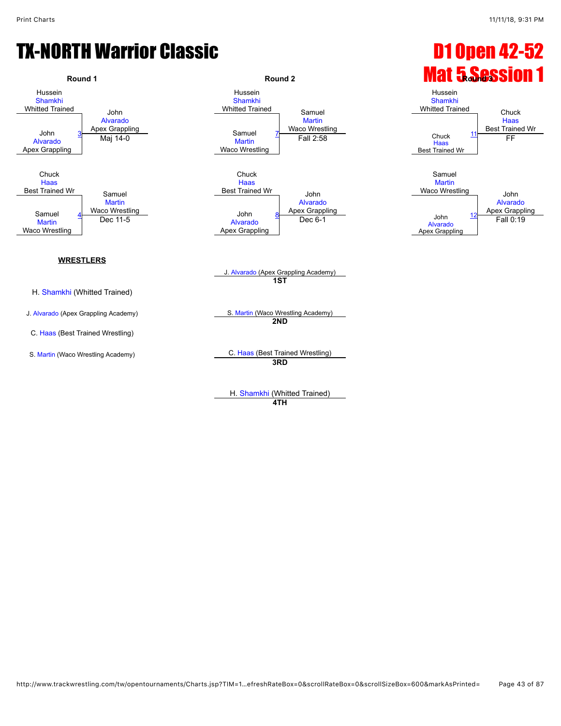## TX-NORTH Warrior Classic **Canadian Classic Communist Constant Constant Constant Constant Constant Constant Const**



H. [Shamkhi](javascript:viewProfile(920831132)) (Whitted Trained) **4TH**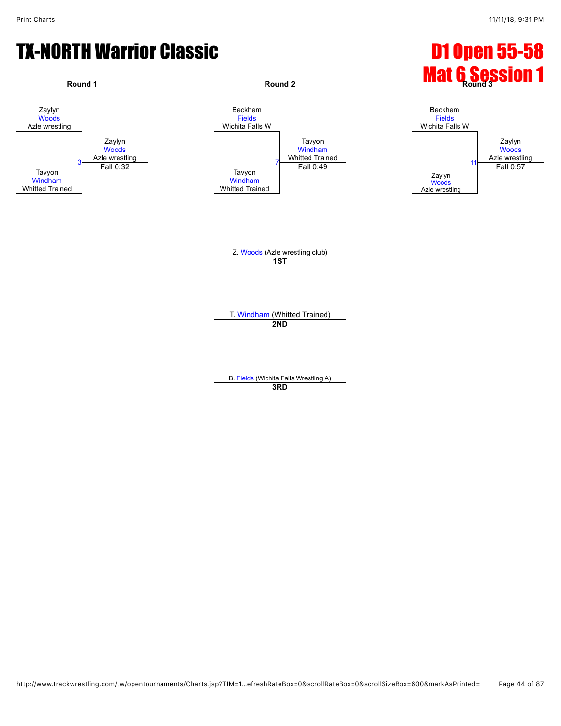### TX-NORTH Warrior Classic **D1 Open 55-58**



B. [Fields](javascript:viewProfile(1724467096)) (Wichita Falls Wrestling A) **3RD**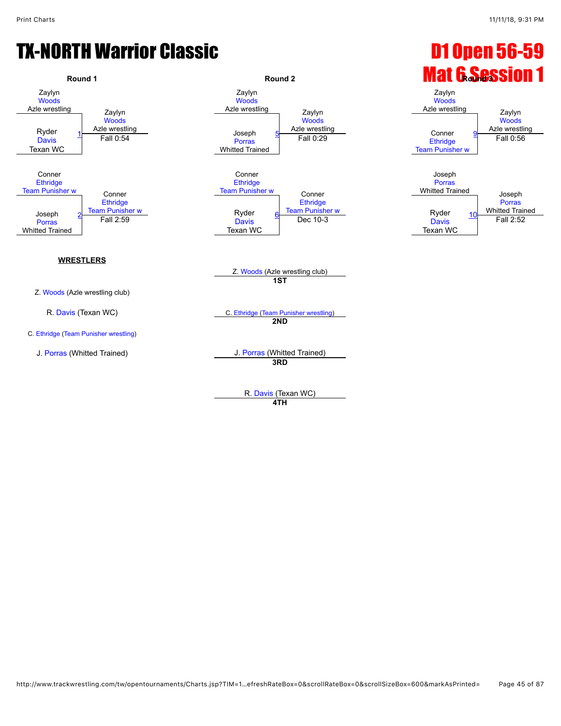## TX-NORTH Warrior Classic **Classic Classic Classic Classic Classic Classic Classic Classic Classic Classic Classic**



R. [Davis](javascript:viewProfile(1224947096)) (Texan WC) **4TH**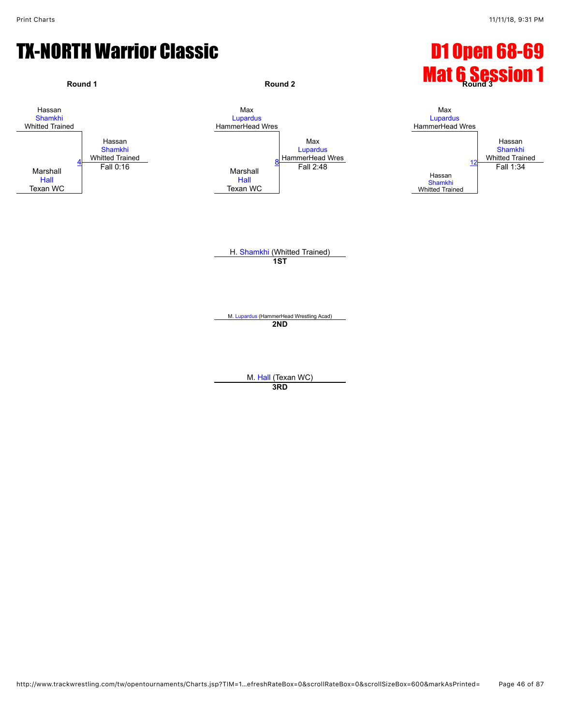#### TX-NORTH Warrior Classic **Canadian Classic Classic Canadian Classic Classic Classic Classic Classic Classic Classic**



M. [Hall](javascript:viewProfile(1555863096)) (Texan WC) **3RD**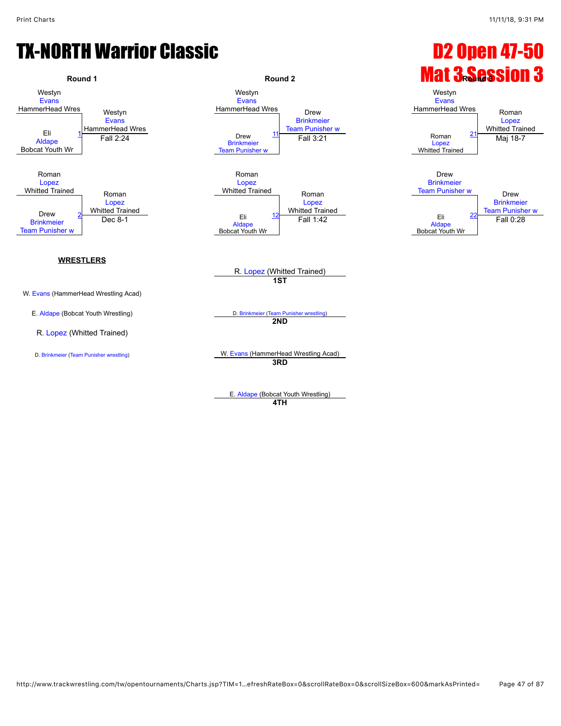

**4TH**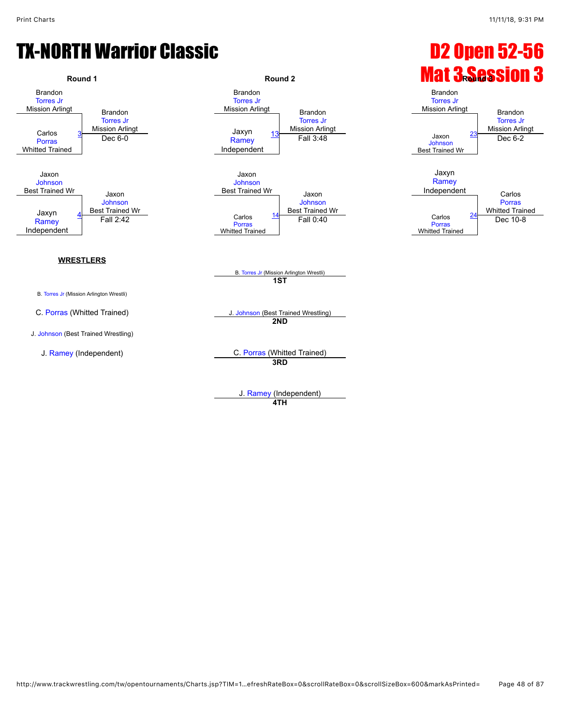

J. [Ramey](javascript:viewProfile(920335132)) (Independent) **4TH**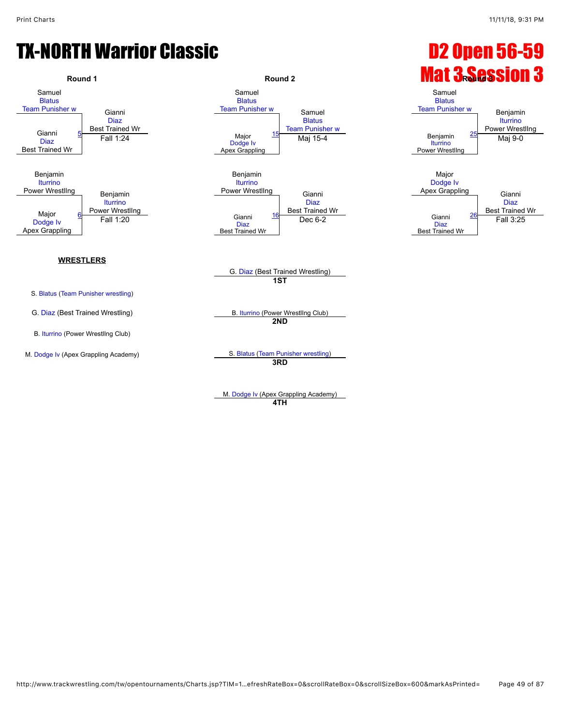

**4TH**

http://www.trackwrestling.com/tw/opentournaments/Charts.jsp?TIM=1…efreshRateBox=0&scrollRateBox=0&scrollSizeBox=600&markAsPrinted= Page 49 of 87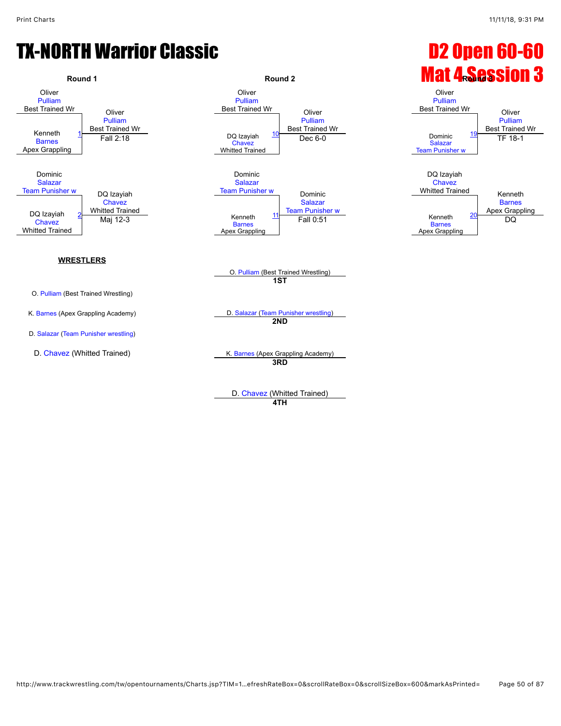

D. [Chavez](javascript:viewProfile(1570605009)) (Whitted Trained) **4TH**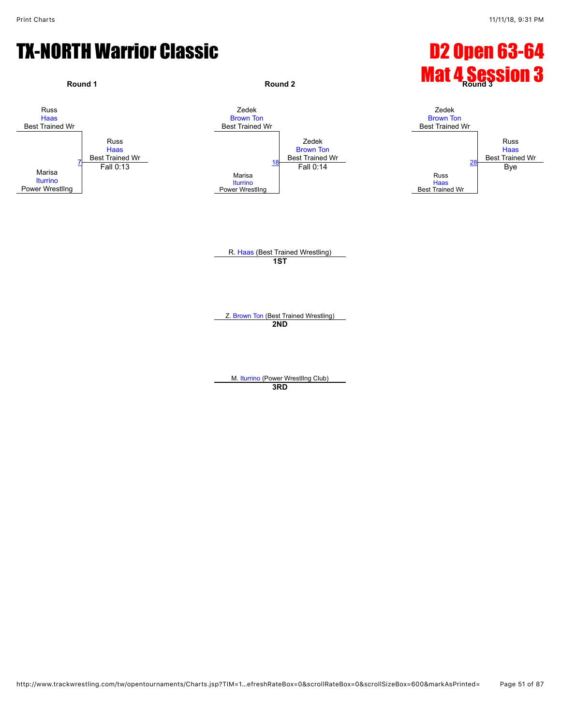#### TX-NORTH Warrior Classic **Canadian Classic Canadian Canadian Canadian Canadian Canadian Canadian Canadian Canadian Canadian Canadian Canadian Canadian Canadian Canadian Canadian Canadian Canadian Canadian Canadian Canadian**



M. [Iturrino](javascript:viewProfile(1165647096)) (Power WrestlIng Club) **3RD**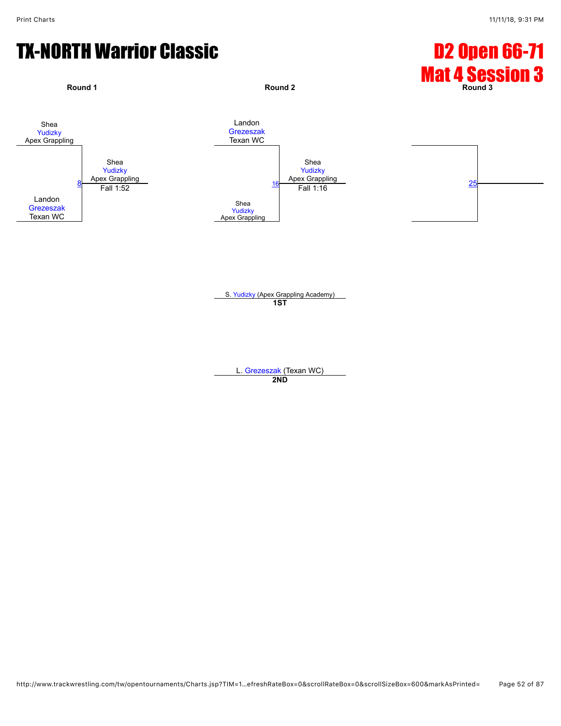## TX-NORTH Warrior Classic **D2 Open 66-71**



S. [Yudizky](javascript:viewProfile(1168300096)) (Apex Grappling Academy) **1ST**

L. [Grezeszak](javascript:viewProfile(1190822096)) (Texan WC) **2ND**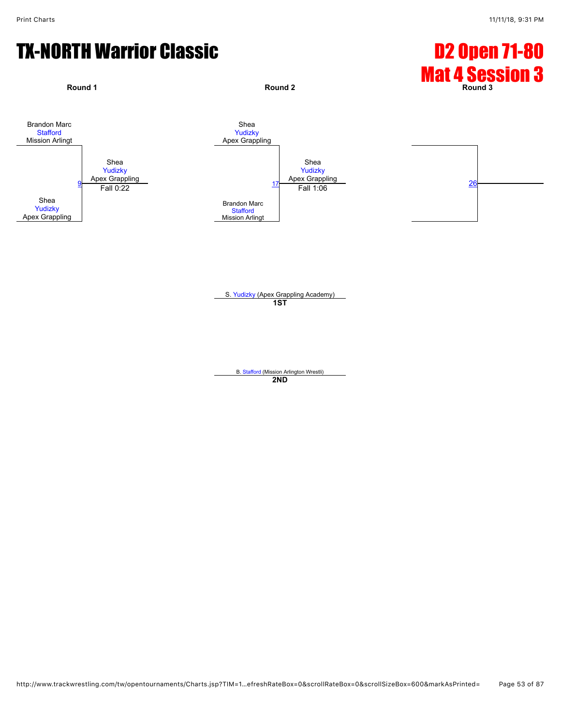## TX-NORTH Warrior Classic **Canadian Classic Canadian Classic Canadian Classic Canadian Classic Canadian Classic C**



S. [Yudizky](javascript:viewProfile(1168300096)) (Apex Grappling Academy) **1ST**

B. [Stafford](javascript:viewProfile(921419132)) (Mission Arlington Wrestli) **2ND**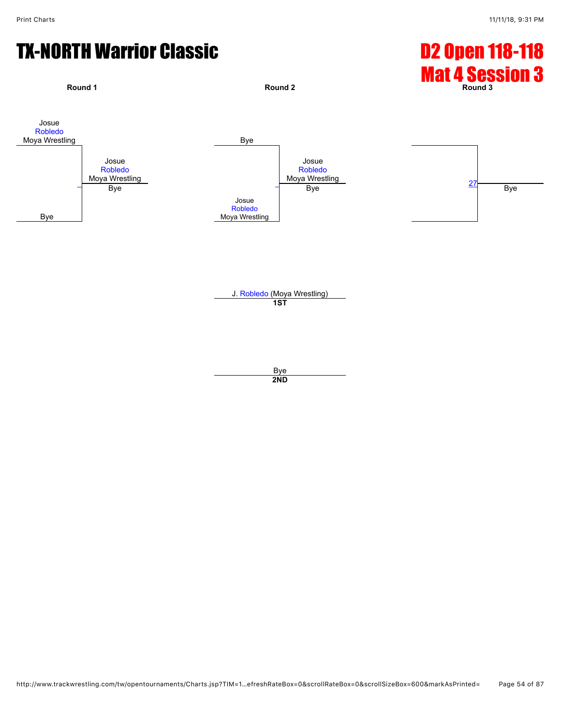## TX-NORTH Warrior Classic **D2 Open 118-118**



Bye **2ND**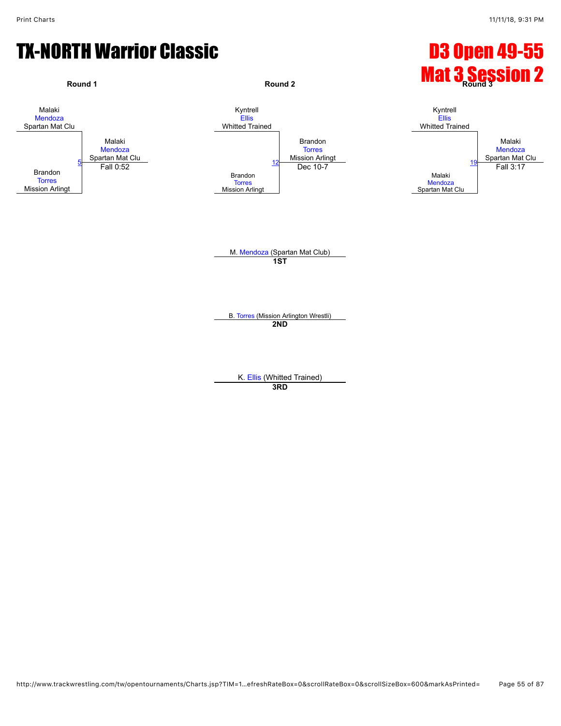

K. [Ellis](javascript:viewProfile(1893087096)) (Whitted Trained)

**3RD**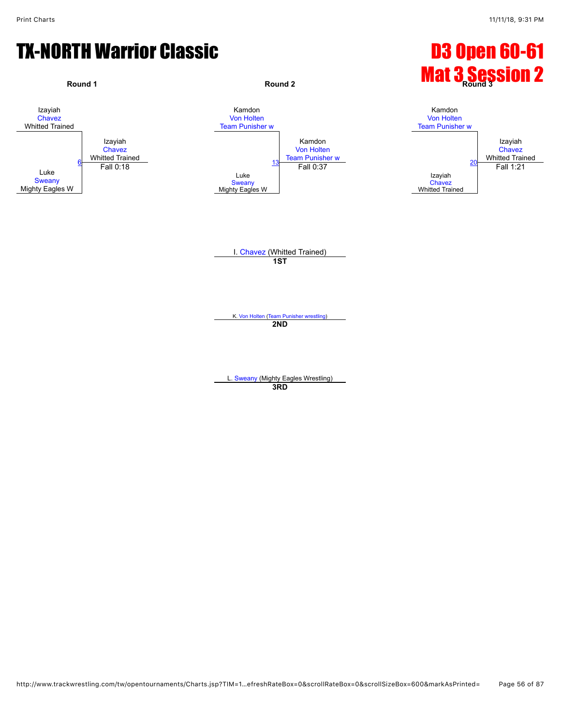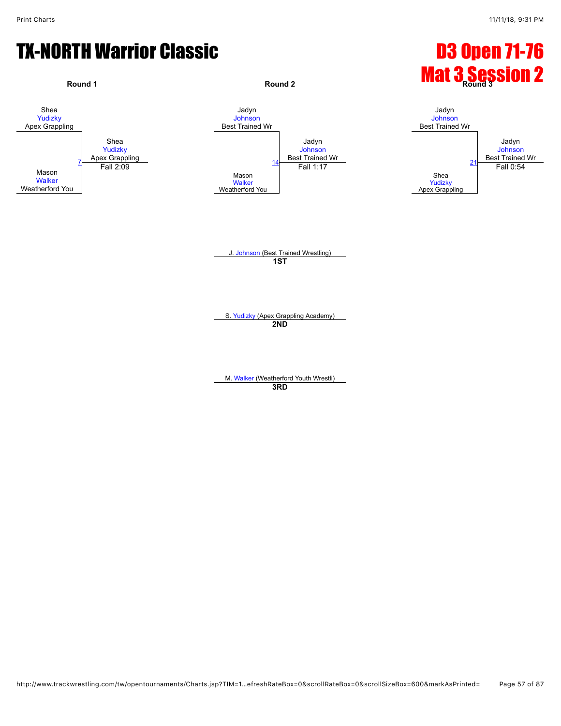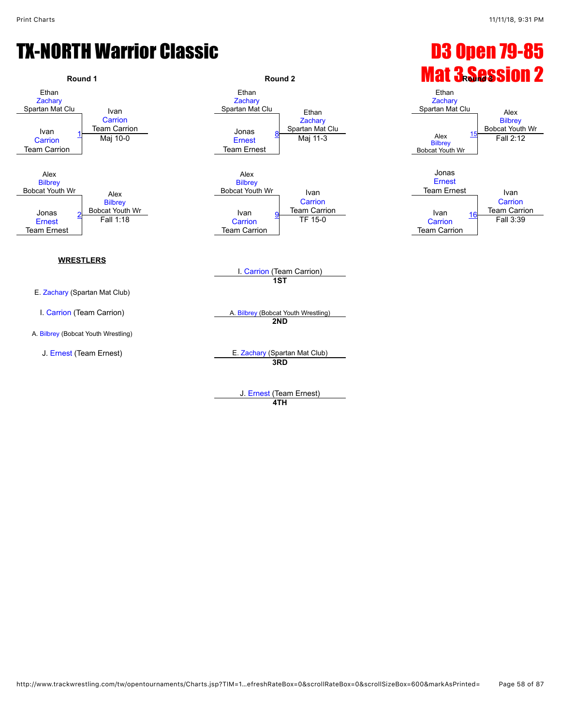

J. [Ernest](javascript:viewProfile(1578435009)) (Team Ernest)

**4TH**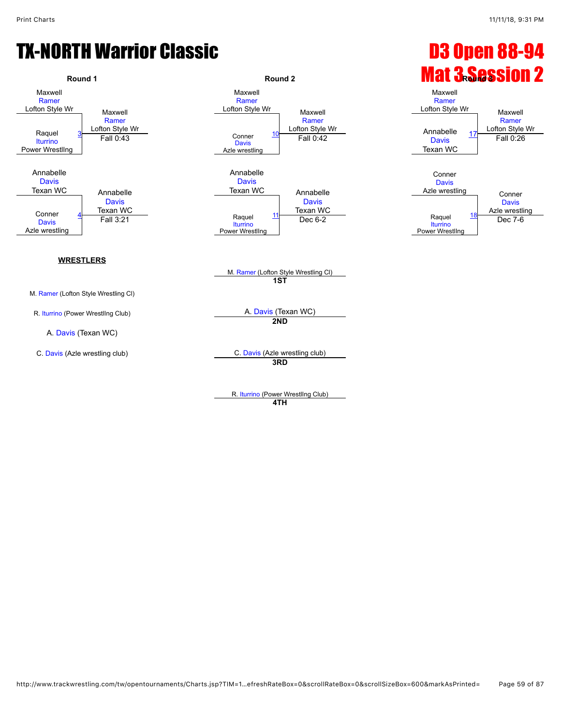

R. [Iturrino](javascript:viewProfile(1165631096)) (Power WrestlIng Club) **4TH**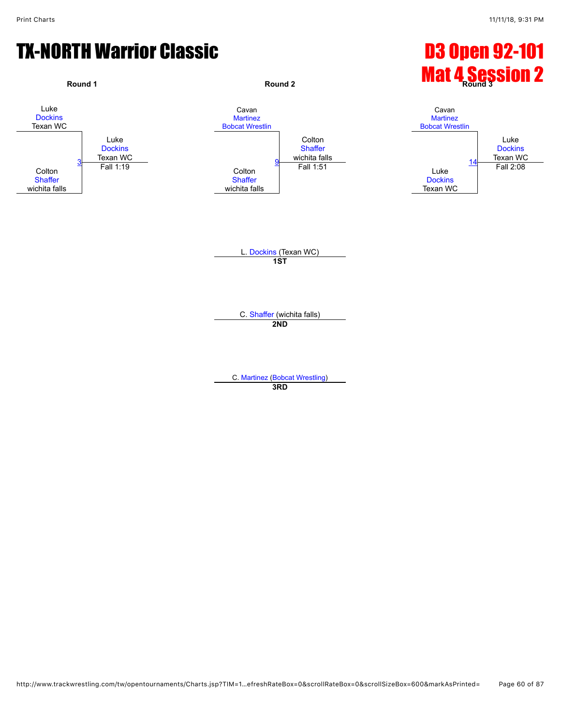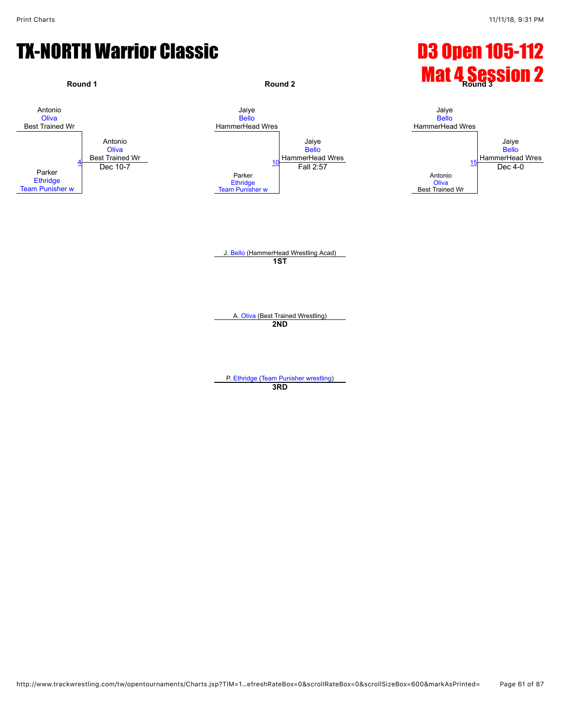

P. [Ethridge](javascript:viewProfile(72968096)) [\(Team Punisher wrestling\)](javascript:viewClub(232076)) **3RD**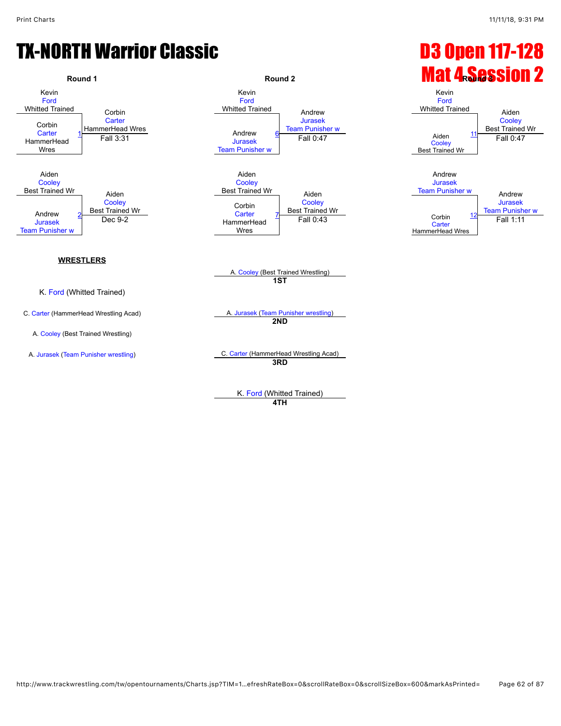### TX-NORTH Warrior Classic **Canadian Classic Communist Constant Constant Constant Constant Constant Constant Const**



**4TH**

http://www.trackwrestling.com/tw/opentournaments/Charts.jsp?TIM=1…efreshRateBox=0&scrollRateBox=0&scrollSizeBox=600&markAsPrinted= Page 62 of 87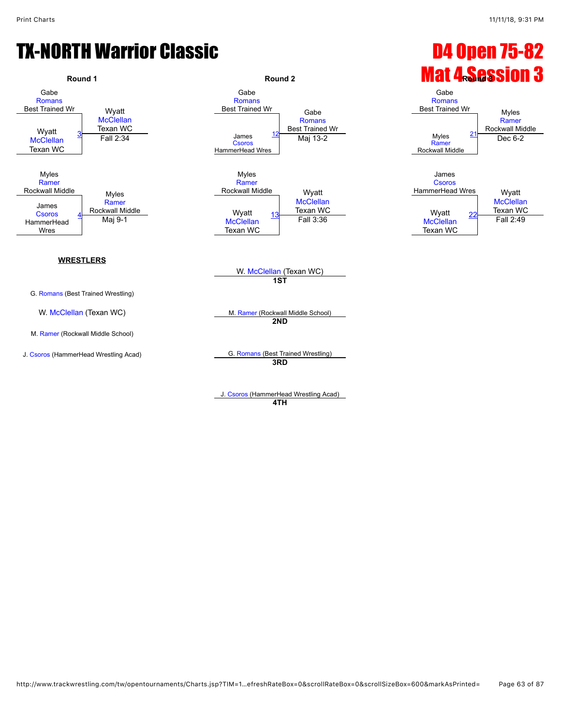

**4TH**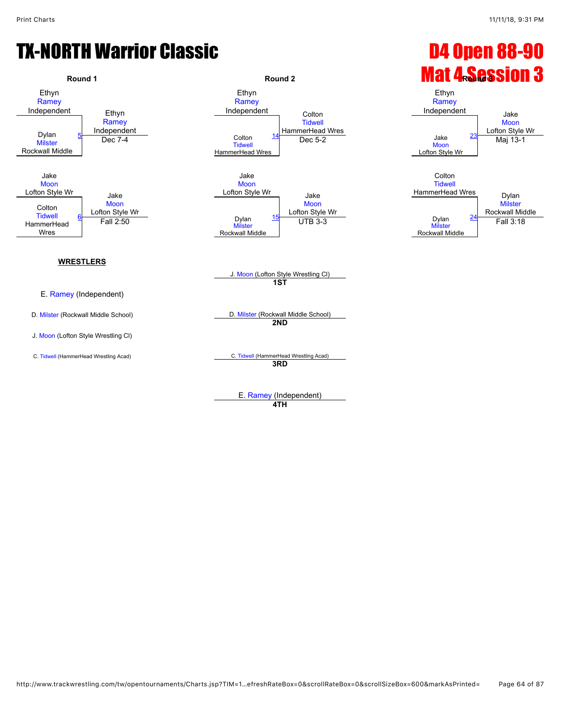

**4TH**

http://www.trackwrestling.com/tw/opentournaments/Charts.jsp?TIM=1…efreshRateBox=0&scrollRateBox=0&scrollSizeBox=600&markAsPrinted= Page 64 of 87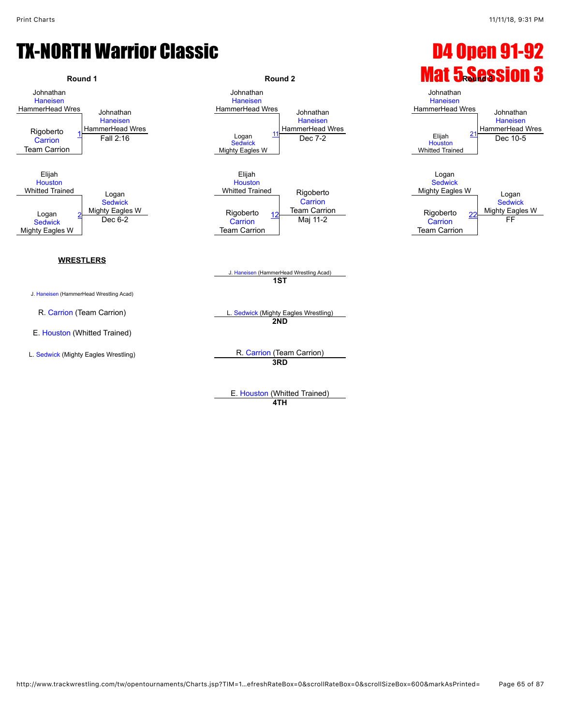

**4TH**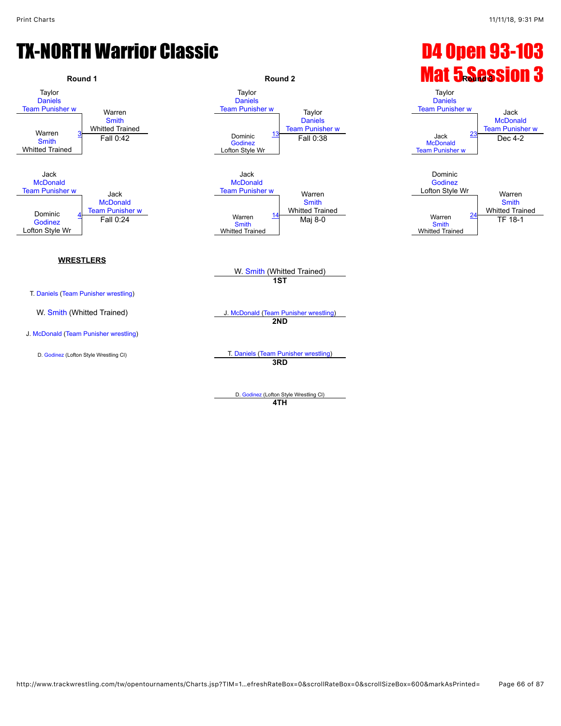

**4TH**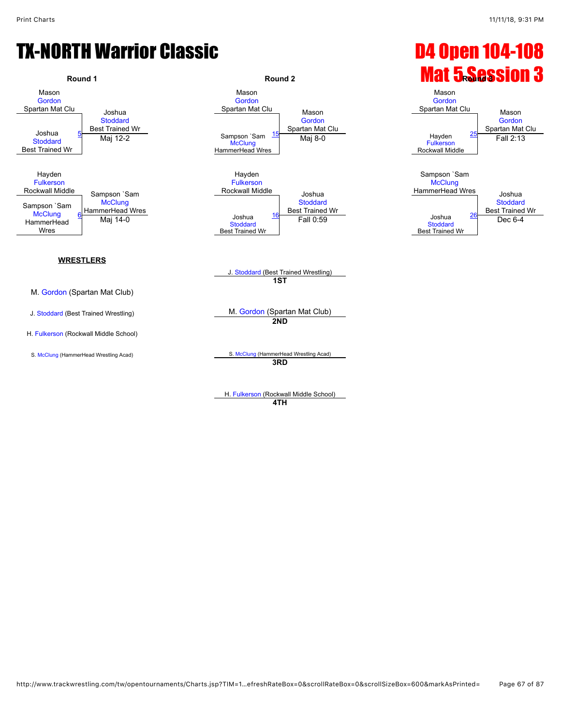

H. [Fulkerson](javascript:viewProfile(654518096)) (Rockwall Middle School) **4TH**

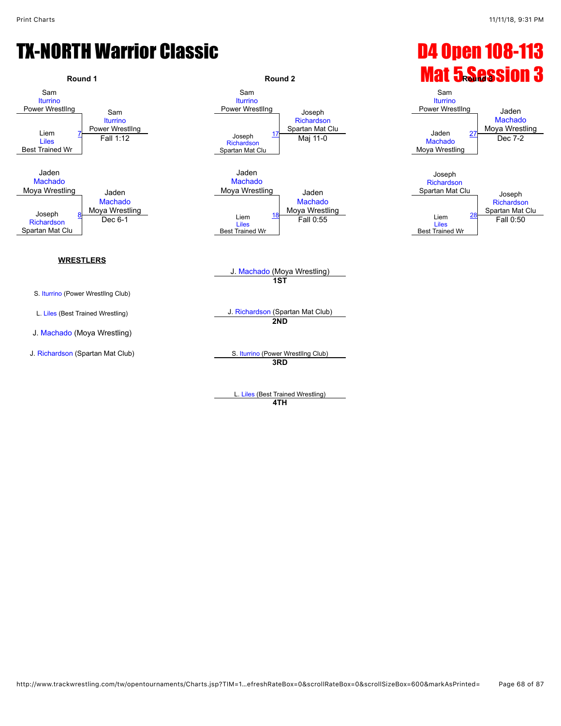

L. [Liles](javascript:viewProfile(163248009)) (Best Trained Wrestling) **4TH**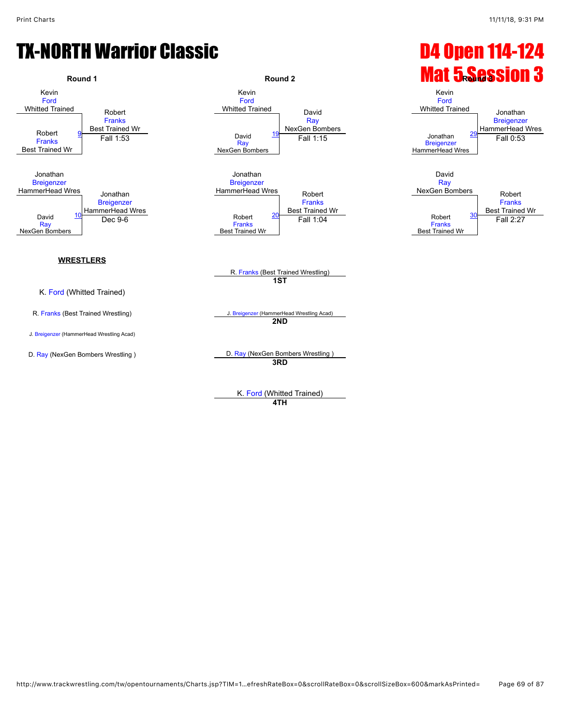

**4TH**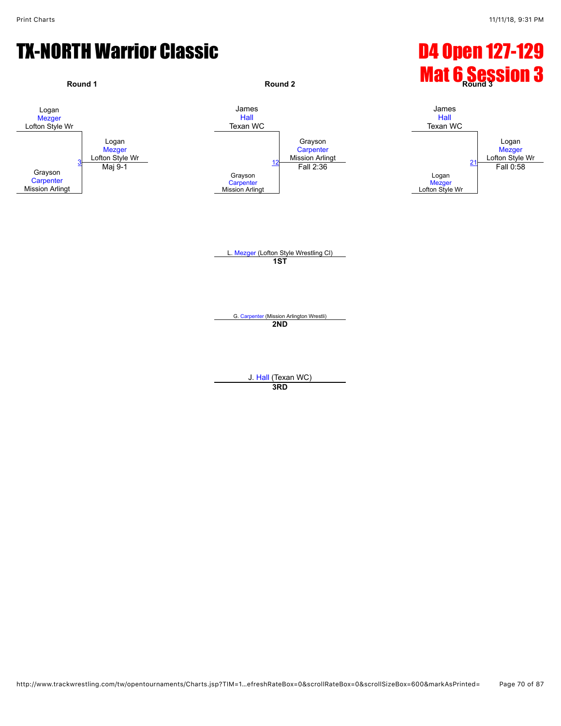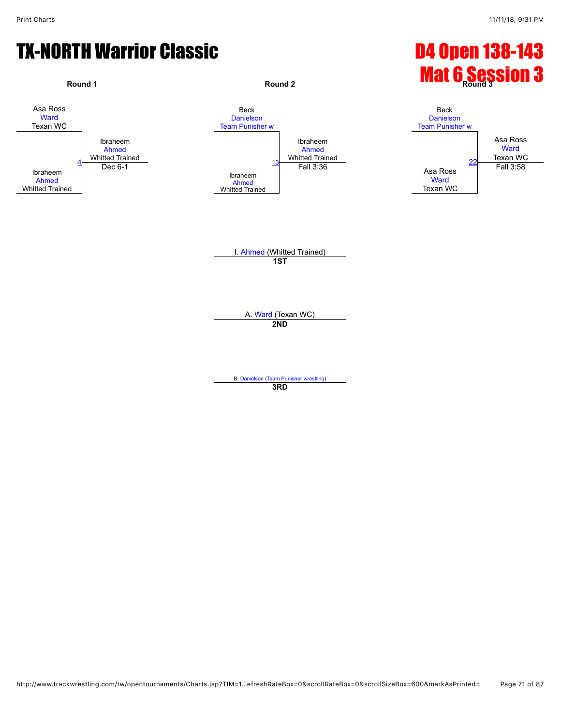

**3RD**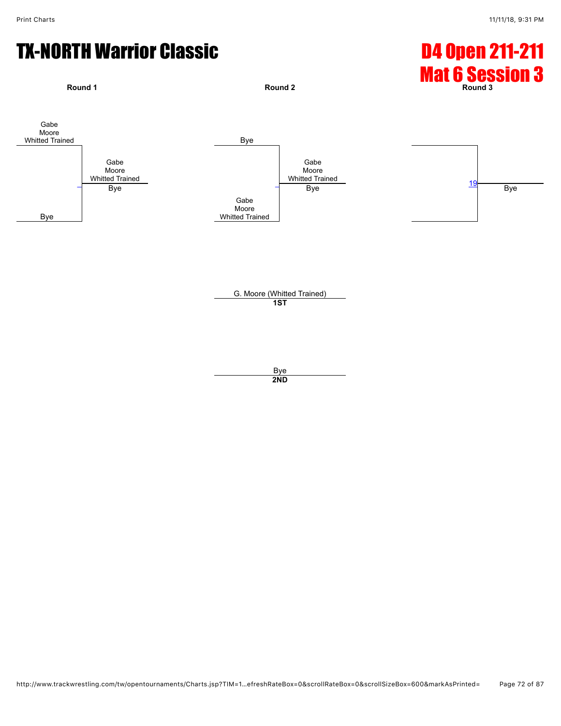

Bye **2ND**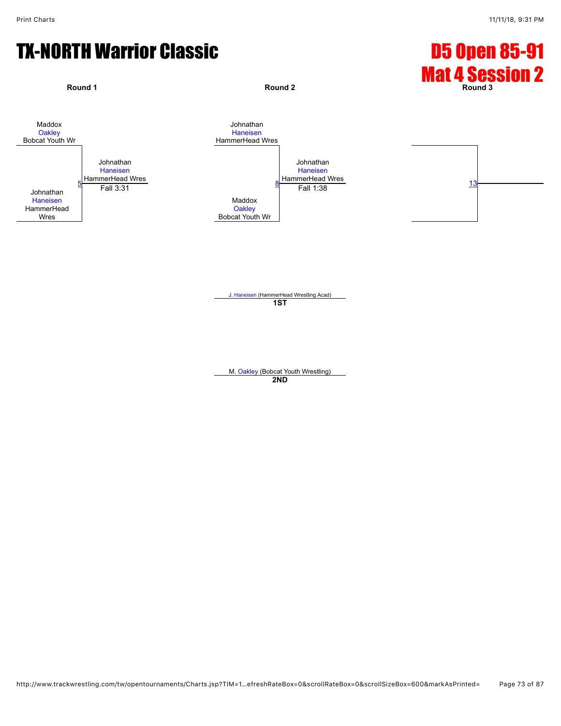## TX-NORTH Warrior Classic **Canadian Classic Communist Constant Constant Constant Constant Constant Constant Const**



J. [Haneisen](javascript:viewProfile(775670096)) (HammerHead Wrestling Acad) **1ST**

M. [Oakley](javascript:viewProfile(1009384009)) (Bobcat Youth Wrestling) **2ND**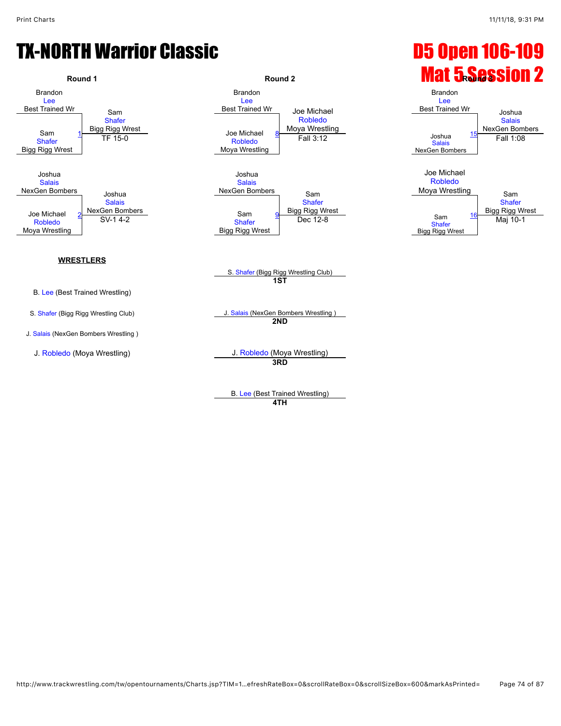## TX-NORTH Warrior Classic **Company of Contract Contract Contract Contract Contract Contract Contract Contract Contract Contract Contract Contract Contract Contract Contract Contract Contract Contract Contract Contract Contr**



J. [Salais](javascript:viewProfile(73263009)) (NexGen Bombers Wrestling )



# **Round 1 Round 2 Round 2 Round 2 Mat 5.Session 2**



S. [Shafer](javascript:viewProfile(2115639009)) (Bigg Rigg Wrestling Club) **1ST**

S. [Shafer](javascript:viewProfile(2115639009)) (Bigg Rigg Wrestling Club) J. [Salais](javascript:viewProfile(73263009)) (NexGen Bombers Wrestling ) **2ND**

J. [Robledo](javascript:viewProfile(920700132)) (Moya Wrestling) J. [Robledo](javascript:viewProfile(920700132)) (Moya Wrestling) **3RD**

> B. [Lee](javascript:viewProfile(22865132)) (Best Trained Wrestling) **4TH**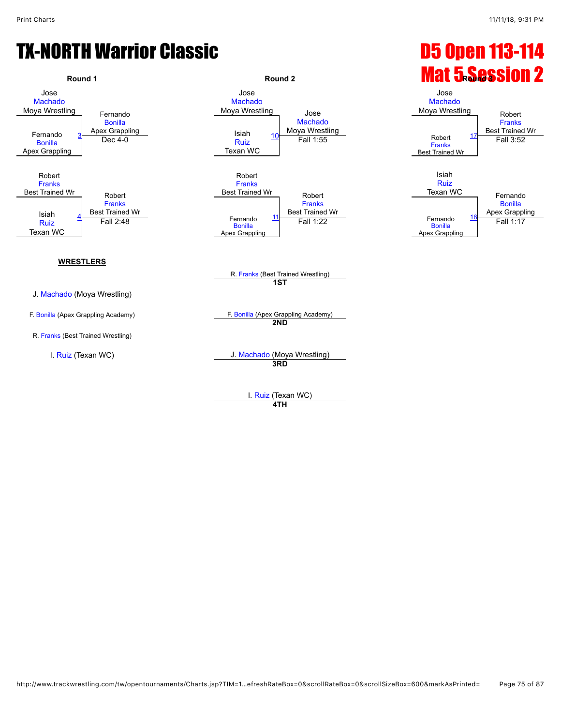## TX-NORTH Warrior Classic **Company 113-114**



**4TH**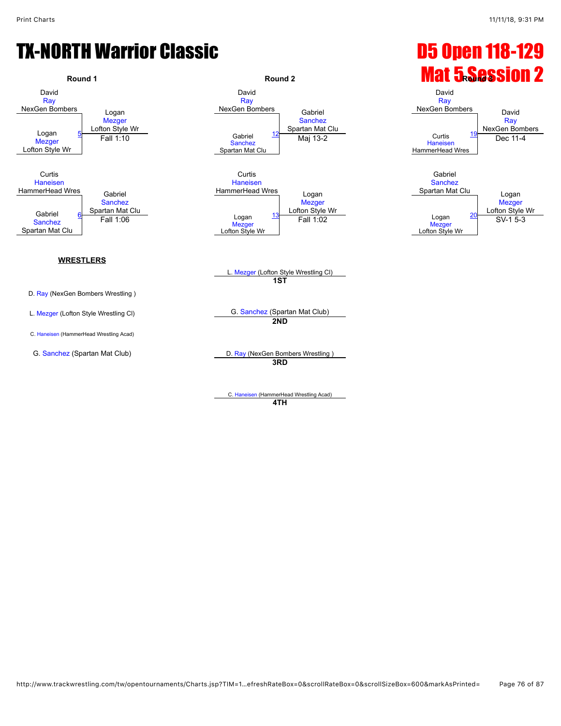## TX-NORTH Warrior Classic **Canadian Classic Communist Constant Constant Constant Constant Constant Constant Const**



C. [Haneisen](javascript:viewProfile(765154096)) (HammerHead Wrestling Acad) **4TH**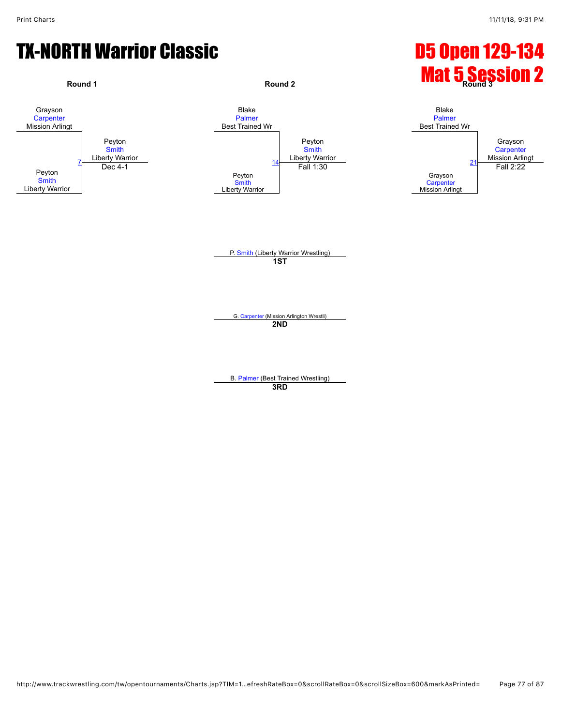#### TX-NORTH Warrior Classic **Canadian Classic Communist Constant Constant Constant Constant Constant Constant Const**

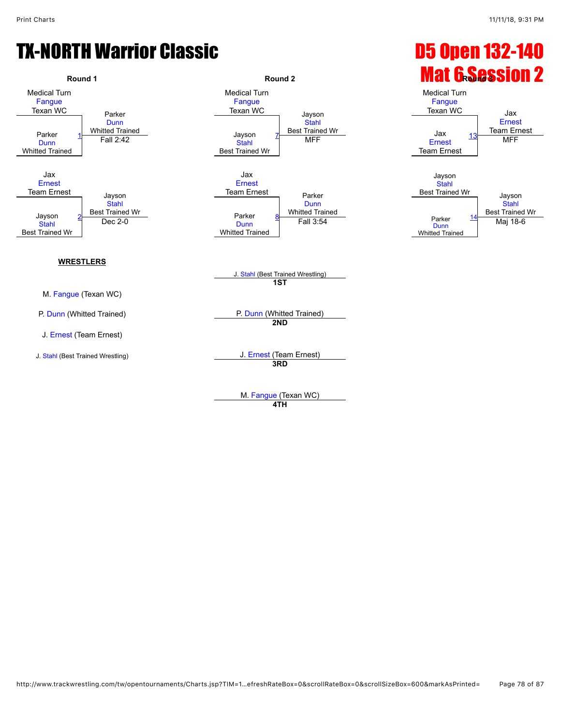## TX-NORTH Warrior Classic **Communist Classic D5 Open 132-140**



**4TH**

http://www.trackwrestling.com/tw/opentournaments/Charts.jsp?TIM=1…efreshRateBox=0&scrollRateBox=0&scrollSizeBox=600&markAsPrinted= Page 78 of 87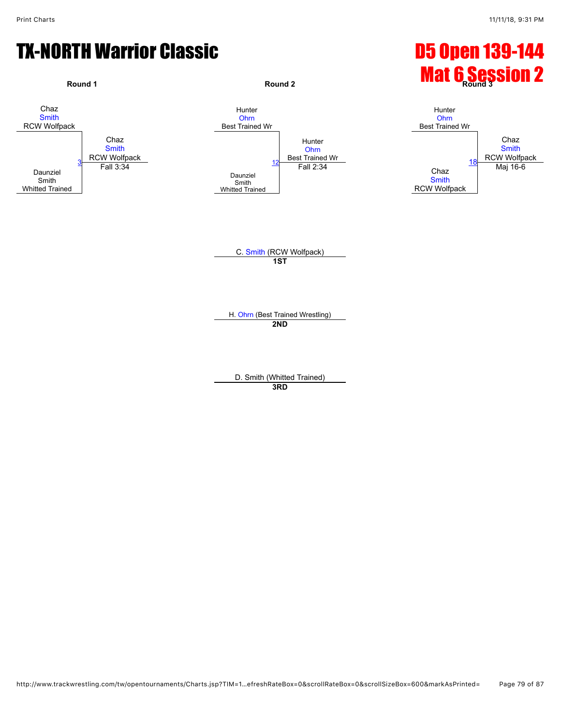## TX-NORTH Warrior Classic **Canadian Classic Canadian Control Control Control Control Control Control Control Control Control Control Control Control Control Control Control Control Control Control Control Control Control Co**



**3RD**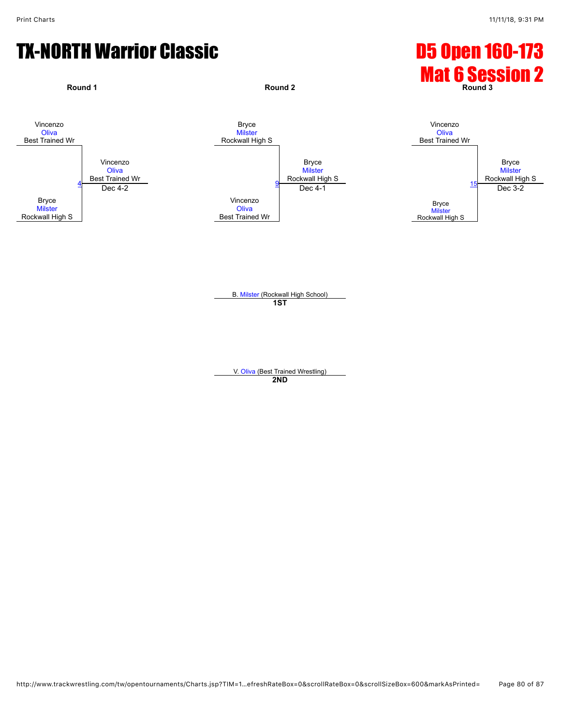# TX-NORTH Warrior Classic **Canadian Classic Canadian Control Control Control Control Control Control Control Control Control Control Control Control Control Control Control Control Control Control Control Control Control Co**



B. [Milster](javascript:viewProfile(9177076)) (Rockwall High School) **1ST**

V. [Oliva](javascript:viewProfile(162304132)) (Best Trained Wrestling) **2ND**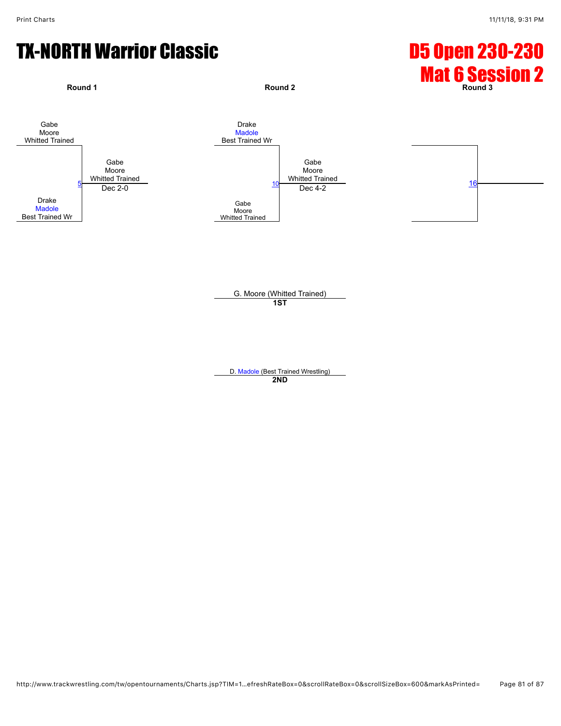# TX-NORTH Warrior Classic **Canadian Classic Canadian Control Control Control Control Control Control Control Control Control Control Control Control Control Control Control Control Control Control Control Control Control Co**



G. Moore (Whitted Trained) **1ST**

D. [Madole](javascript:viewProfile(1099382009)) (Best Trained Wrestling) **2ND**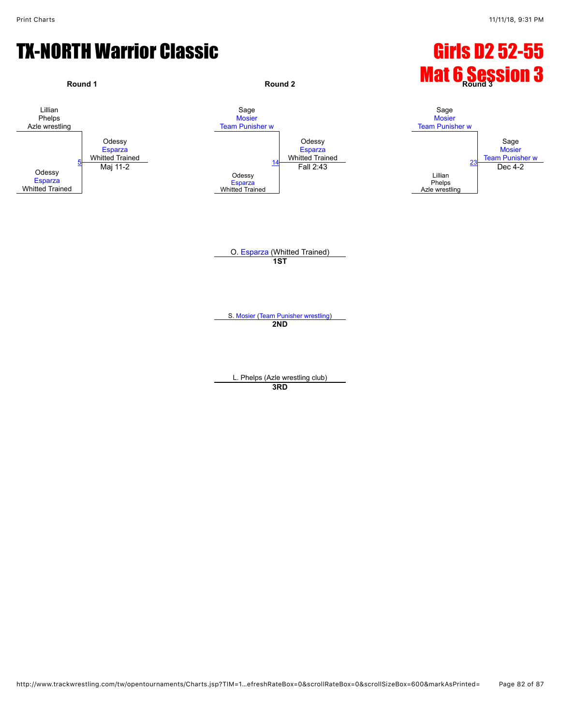## TX-NORTH Warrior Classic Girls D2 52-55

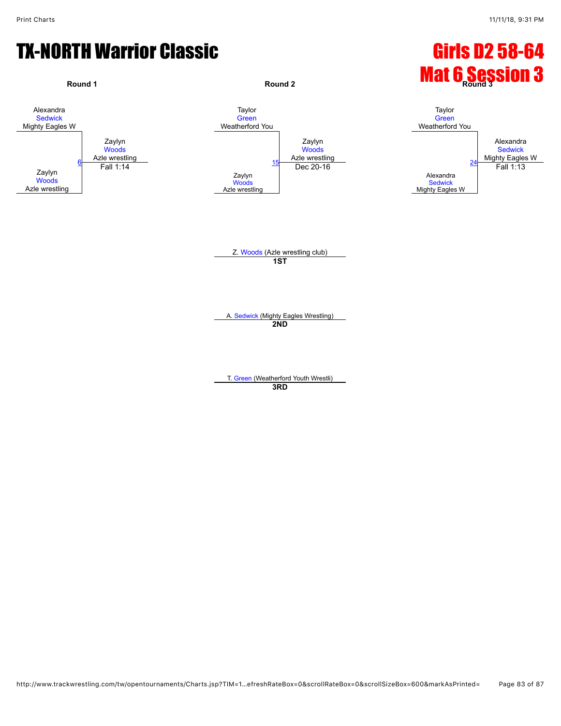#### TX-NORTH Warrior Classic Girls D2 58-64

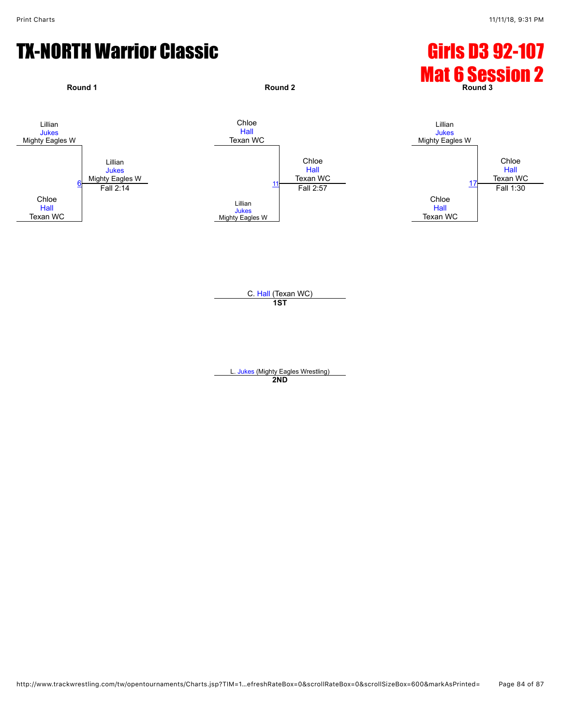# TX-NORTH Warrior Classic Girls D3 92-107



C. [Hall](javascript:viewProfile(616751132)) (Texan WC) **1ST**

L. [Jukes](javascript:viewProfile(107108096)) (Mighty Eagles Wrestling) **2ND**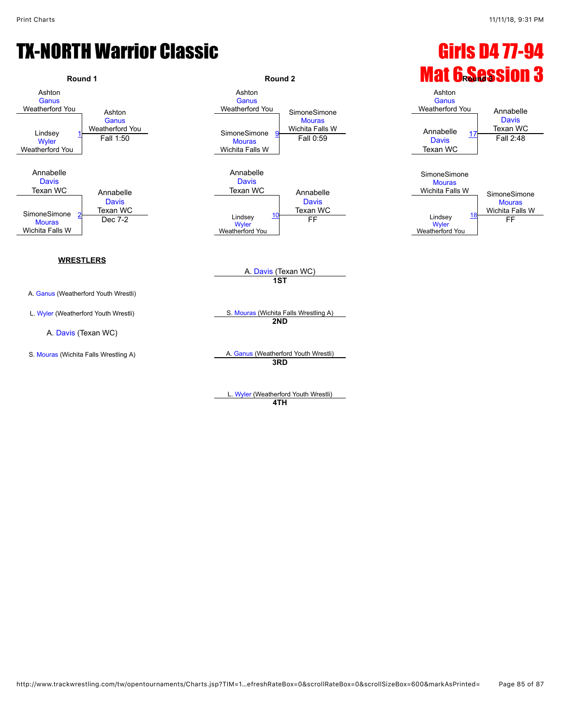## TX-NORTH Warrior Classic Girls D4 77-94



L. [Wyler](javascript:viewProfile(162181132)) (Weatherford Youth Wrestli) **4TH**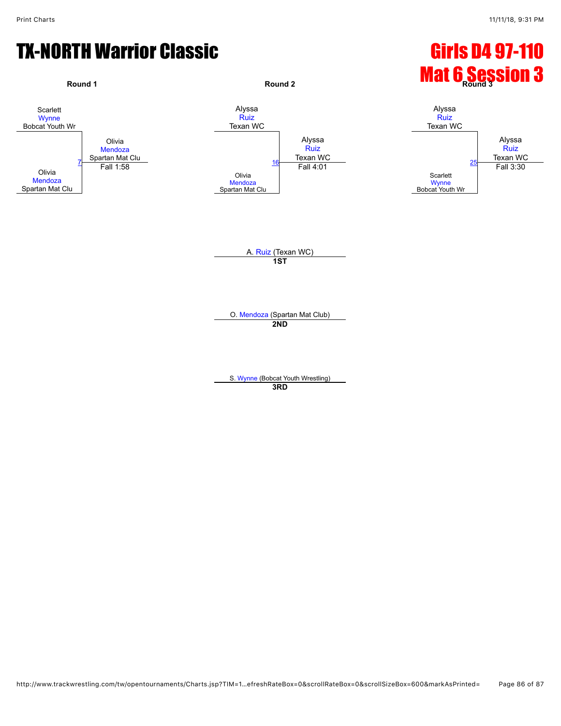## TX-NORTH Warrior Classic **Girls D4 97-110**